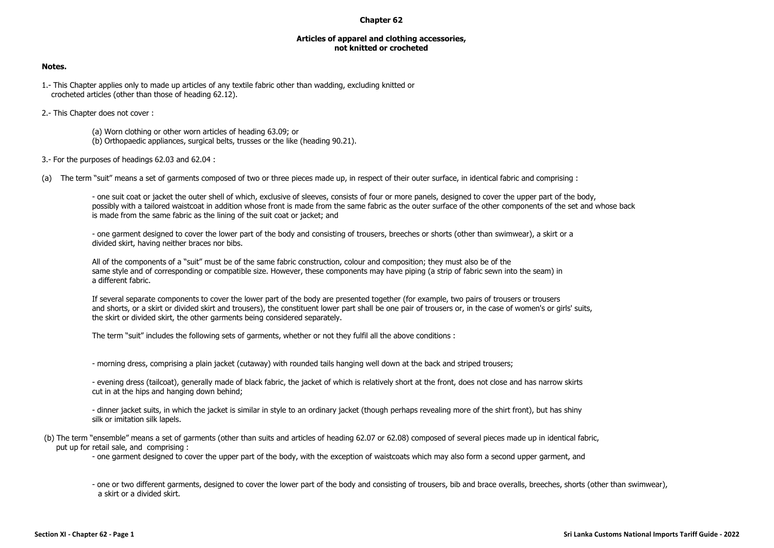## **Chapter 62**

## **Articles of apparel and clothing accessories, not knitted or crocheted**

## **Notes.**

- 1.- This Chapter applies only to made up articles of any textile fabric other than wadding, excluding knitted or crocheted articles (other than those of heading 62.12).
- 2.- This Chapter does not cover :
	- (a) Worn clothing or other worn articles of heading 63.09; or
	- (b) Orthopaedic appliances, surgical belts, trusses or the like (heading 90.21).
- 3.- For the purposes of headings 62.03 and 62.04 :
- (a) The term "suit" means a set of garments composed of two or three pieces made up, in respect of their outer surface, in identical fabric and comprising :

- one suit coat or jacket the outer shell of which, exclusive of sleeves, consists of four or more panels, designed to cover the upper part of the body, possibly with a tailored waistcoat in addition whose front is made from the same fabric as the outer surface of the other components of the set and whose back is made from the same fabric as the lining of the suit coat or jacket; and

- one garment designed to cover the lower part of the body and consisting of trousers, breeches or shorts (other than swimwear), a skirt or a divided skirt, having neither braces nor bibs.

All of the components of a "suit" must be of the same fabric construction, colour and composition; they must also be of the same style and of corresponding or compatible size. However, these components may have piping (a strip of fabric sewn into the seam) in a different fabric.

If several separate components to cover the lower part of the body are presented together (for example, two pairs of trousers or trousers and shorts, or a skirt or divided skirt and trousers), the constituent lower part shall be one pair of trousers or, in the case of women's or girls' suits, the skirt or divided skirt, the other garments being considered separately.

The term "suit" includes the following sets of garments, whether or not they fulfil all the above conditions :

- morning dress, comprising a plain jacket (cutaway) with rounded tails hanging well down at the back and striped trousers;

- evening dress (tailcoat), generally made of black fabric, the jacket of which is relatively short at the front, does not close and has narrow skirts cut in at the hips and hanging down behind;

- dinner jacket suits, in which the jacket is similar in style to an ordinary jacket (though perhaps revealing more of the shirt front), but has shiny silk or imitation silk lapels.

(b) The term "ensemble" means a set of garments (other than suits and articles of heading 62.07 or 62.08) composed of several pieces made up in identical fabric, put up for retail sale, and comprising :

- one garment designed to cover the upper part of the body, with the exception of waistcoats which may also form a second upper garment, and

- one or two different garments, designed to cover the lower part of the body and consisting of trousers, bib and brace overalls, breeches, shorts (other than swimwear), a skirt or a divided skirt.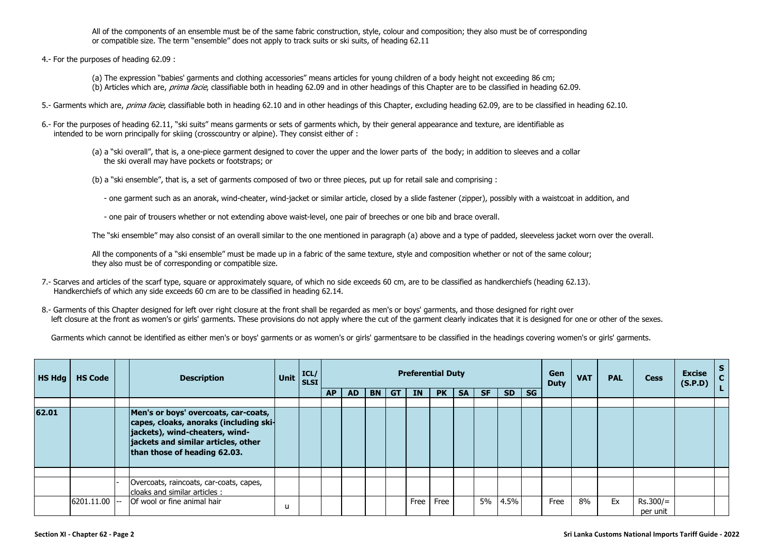All of the components of an ensemble must be of the same fabric construction, style, colour and composition; they also must be of corresponding or compatible size. The term "ensemble" does not apply to track suits or ski suits, of heading 62.11

- 4.- For the purposes of heading 62.09 :
	- (a) The expression "babies' garments and clothing accessories" means articles for young children of a body height not exceeding 86 cm;
	- (b) Articles which are, *prima facie*, classifiable both in heading 62.09 and in other headings of this Chapter are to be classified in heading 62.09.
- 5.- Garments which are, prima facie, classifiable both in heading 62.10 and in other headings of this Chapter, excluding heading 62.09, are to be classified in heading 62.10.
- 6.- For the purposes of heading 62.11, "ski suits" means garments or sets of garments which, by their general appearance and texture, are identifiable as intended to be worn principally for skiing (crosscountry or alpine). They consist either of :
	- (a) a "ski overall", that is, a one-piece garment designed to cover the upper and the lower parts of the body; in addition to sleeves and a collar the ski overall may have pockets or footstraps; or
	- (b) a "ski ensemble", that is, a set of garments composed of two or three pieces, put up for retail sale and comprising :
		- one garment such as an anorak, wind-cheater, wind-jacket or similar article, closed by a slide fastener (zipper), possibly with a waistcoat in addition, and
		- one pair of trousers whether or not extending above waist-level, one pair of breeches or one bib and brace overall.

The "ski ensemble" may also consist of an overall similar to the one mentioned in paragraph (a) above and a type of padded, sleeveless jacket worn over the overall.

All the components of a "ski ensemble" must be made up in a fabric of the same texture, style and composition whether or not of the same colour; they also must be of corresponding or compatible size.

- 7.- Scarves and articles of the scarf type, square or approximately square, of which no side exceeds 60 cm, are to be classified as handkerchiefs (heading 62.13). Handkerchiefs of which any side exceeds 60 cm are to be classified in heading 62.14.
- 8.- Garments of this Chapter designed for left over right closure at the front shall be regarded as men's or boys' garments, and those designed for right over left closure at the front as women's or girls' garments. These provisions do not apply where the cut of the garment clearly indicates that it is designed for one or other of the sexes.

Garments which cannot be identified as either men's or boys' garments or as women's or girls' garmentsare to be classified in the headings covering women's or girls' garments.

| $H$ S Hdg $\vert$ | <b>HS Code</b> | <b>Description</b>                                                                                                                              | Unit | ICL/<br><b>SLSI</b> |           |           |           |           |           | <b>Preferential Duty</b> |           |           |           |           | Gen<br><b>Duty</b> | <b>VAT</b> | <b>PAL</b> | <b>Cess</b>            | <b>Excise</b><br>(S.P.D) | C. |
|-------------------|----------------|-------------------------------------------------------------------------------------------------------------------------------------------------|------|---------------------|-----------|-----------|-----------|-----------|-----------|--------------------------|-----------|-----------|-----------|-----------|--------------------|------------|------------|------------------------|--------------------------|----|
|                   |                |                                                                                                                                                 |      |                     | <b>AP</b> | <b>AD</b> | <b>BN</b> | <b>GT</b> | <b>IN</b> | <b>PK</b>                | <b>SA</b> | <b>SF</b> | <b>SD</b> | <b>SG</b> |                    |            |            |                        |                          |    |
| 62.01             |                | Men's or boys' overcoats, car-coats,                                                                                                            |      |                     |           |           |           |           |           |                          |           |           |           |           |                    |            |            |                        |                          |    |
|                   |                | capes, cloaks, anoraks (including ski-<br>jackets), wind-cheaters, wind-<br>jackets and similar articles, other<br>than those of heading 62.03. |      |                     |           |           |           |           |           |                          |           |           |           |           |                    |            |            |                        |                          |    |
|                   |                |                                                                                                                                                 |      |                     |           |           |           |           |           |                          |           |           |           |           |                    |            |            |                        |                          |    |
|                   |                | Overcoats, raincoats, car-coats, capes,<br>cloaks and similar articles :                                                                        |      |                     |           |           |           |           |           |                          |           |           |           |           |                    |            |            |                        |                          |    |
|                   | 6201.11.00     | Of wool or fine animal hair                                                                                                                     | ы    |                     |           |           |           |           | Free      | Free                     |           | 5%        | 4.5%      |           | Free               | 8%         | Ex         | $Rs.300/=$<br>per unit |                          |    |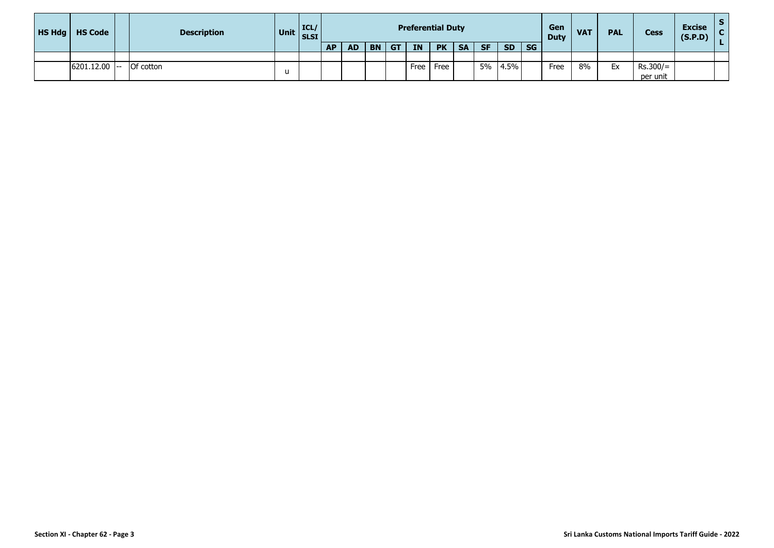| HS Hdg | <b>HS Code</b> | <b>Description</b> |   | Unit $\begin{bmatrix} \text{ICL} \\ \text{SLSI} \end{bmatrix}$ |           |           |           |           | <b>Preferential Duty</b> |           |           |           |           |           | Gen<br><b>Duty</b> | <b>VAT</b> | <b>PAL</b> | <b>Cess</b> | <b>Excise</b><br>(S.P.D) |  |
|--------|----------------|--------------------|---|----------------------------------------------------------------|-----------|-----------|-----------|-----------|--------------------------|-----------|-----------|-----------|-----------|-----------|--------------------|------------|------------|-------------|--------------------------|--|
|        |                |                    |   |                                                                | <b>AP</b> | <b>AD</b> | <b>BN</b> | <b>GT</b> | <b>IN</b>                | <b>PK</b> | <b>SA</b> | <b>SF</b> | <b>SD</b> | <b>SG</b> |                    |            |            |             |                          |  |
|        |                |                    |   |                                                                |           |           |           |           |                          |           |           |           |           |           |                    |            |            |             |                          |  |
|        | 6201.12.00     | <b>Of cotton</b>   |   |                                                                |           |           |           |           | Free                     | Free      |           | 5%        | 4.5%      |           | Free               | 8%         | Ex         | $Rs.300/=$  |                          |  |
|        |                |                    | u |                                                                |           |           |           |           |                          |           |           |           |           |           |                    |            |            | per unit    |                          |  |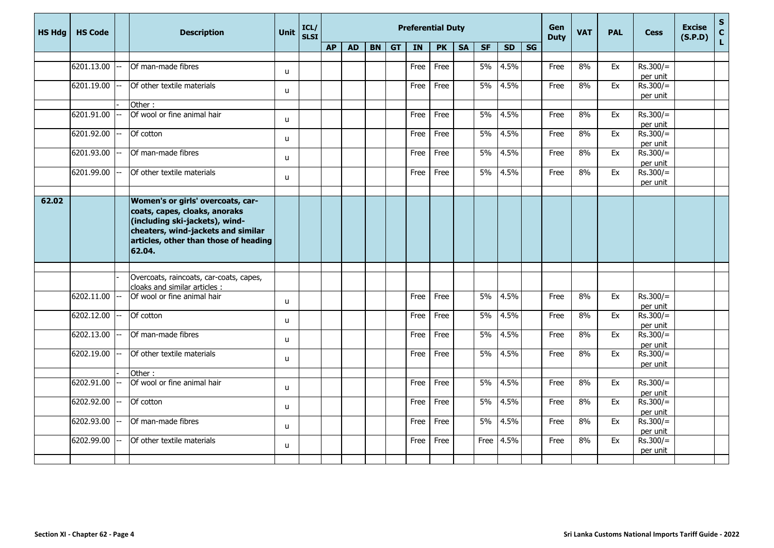| <b>HS Hdg</b> | <b>HS Code</b> |                          | <b>Description</b>                                                                                                                                       | <b>Unit</b>  | ICL/<br><b>SLSI</b> | <b>Preferential Duty</b> |           |    |           |      |           |           |           |           | Gen<br><b>Duty</b> | <b>VAT</b> | <b>PAL</b> | <b>Cess</b> | <b>Excise</b><br>(S.P.D) | $S_{C}$ |              |
|---------------|----------------|--------------------------|----------------------------------------------------------------------------------------------------------------------------------------------------------|--------------|---------------------|--------------------------|-----------|----|-----------|------|-----------|-----------|-----------|-----------|--------------------|------------|------------|-------------|--------------------------|---------|--------------|
|               |                |                          |                                                                                                                                                          |              |                     | <b>AP</b>                | <b>AD</b> | BN | <b>GT</b> | IN   | <b>PK</b> | <b>SA</b> | <b>SF</b> | <b>SD</b> | SG                 |            |            |             |                          |         | $\mathbf{L}$ |
|               |                |                          |                                                                                                                                                          |              |                     |                          |           |    |           |      |           |           |           |           |                    |            |            |             |                          |         |              |
|               | 6201.13.00     |                          | Of man-made fibres                                                                                                                                       | u            |                     |                          |           |    |           | Free | Free      |           | 5%        | 4.5%      |                    | Free       | 8%         | Ex          | $Rs.300/=$               |         |              |
|               |                |                          |                                                                                                                                                          |              |                     |                          |           |    |           |      |           |           |           |           |                    |            |            |             | per unit                 |         |              |
|               | 6201.19.00     |                          | Of other textile materials                                                                                                                               | $\mathbf{u}$ |                     |                          |           |    |           | Free | Free      |           | 5%        | 4.5%      |                    | Free       | 8%         | Ex          | $Rs.300/=$               |         |              |
|               |                |                          | Other:                                                                                                                                                   |              |                     |                          |           |    |           |      |           |           |           |           |                    |            |            |             | per unit                 |         |              |
|               | 6201.91.00     |                          | Of wool or fine animal hair                                                                                                                              |              |                     |                          |           |    |           | Free | Free      |           | 5%        | 4.5%      |                    | Free       | 8%         | Ex          | $Rs.300/=$               |         |              |
|               |                |                          |                                                                                                                                                          | $\mathsf{u}$ |                     |                          |           |    |           |      |           |           |           |           |                    |            |            |             | per unit                 |         |              |
|               | 6201.92.00     |                          | Of cotton                                                                                                                                                | u            |                     |                          |           |    |           | Free | Free      |           | 5%        | 4.5%      |                    | Free       | 8%         | Ex          | $Rs.300/=$               |         |              |
|               |                |                          |                                                                                                                                                          |              |                     |                          |           |    |           |      |           |           |           |           |                    |            |            |             | per unit                 |         |              |
|               | 6201.93.00     |                          | Of man-made fibres                                                                                                                                       | $\mathsf{u}$ |                     |                          |           |    |           | Free | Free      |           | 5%        | 4.5%      |                    | Free       | 8%         | Ex          | $Rs.300/=$               |         |              |
|               | 6201.99.00     |                          | Of other textile materials                                                                                                                               |              |                     |                          |           |    |           |      |           |           | 5%        | 4.5%      |                    |            |            |             | per unit                 |         |              |
|               |                |                          |                                                                                                                                                          | $\mathbf{u}$ |                     |                          |           |    |           | Free | Free      |           |           |           |                    | Free       | 8%         | Ex          | $Rs.300/=$<br>per unit   |         |              |
|               |                |                          |                                                                                                                                                          |              |                     |                          |           |    |           |      |           |           |           |           |                    |            |            |             |                          |         |              |
| 62.02         |                |                          | Women's or girls' overcoats, car-                                                                                                                        |              |                     |                          |           |    |           |      |           |           |           |           |                    |            |            |             |                          |         |              |
|               |                |                          | coats, capes, cloaks, anoraks<br>(including ski-jackets), wind-<br>cheaters, wind-jackets and similar<br>articles, other than those of heading<br>62.04. |              |                     |                          |           |    |           |      |           |           |           |           |                    |            |            |             |                          |         |              |
|               |                |                          |                                                                                                                                                          |              |                     |                          |           |    |           |      |           |           |           |           |                    |            |            |             |                          |         |              |
|               |                |                          | Overcoats, raincoats, car-coats, capes,<br>cloaks and similar articles :                                                                                 |              |                     |                          |           |    |           |      |           |           |           |           |                    |            |            |             |                          |         |              |
|               | 6202.11.00     |                          | Of wool or fine animal hair                                                                                                                              | $\mathsf{u}$ |                     |                          |           |    |           | Free | Free      |           | 5%        | 4.5%      |                    | Free       | 8%         | Ex          | $Rs.300/=$<br>per unit   |         |              |
|               | 6202.12.00     | $\overline{\phantom{a}}$ | Of cotton                                                                                                                                                | u            |                     |                          |           |    |           | Free | Free      |           | 5%        | 4.5%      |                    | Free       | 8%         | Ex          | $Rs.300/=$               |         |              |
|               |                |                          |                                                                                                                                                          |              |                     |                          |           |    |           |      |           |           |           |           |                    |            |            |             | per unit                 |         |              |
|               | 6202.13.00     |                          | Of man-made fibres                                                                                                                                       | u            |                     |                          |           |    |           | Free | Free      |           | 5%        | 4.5%      |                    | Free       | 8%         | Ex          | $Rs.300/=$               |         |              |
|               | 6202.19.00     | $- -$                    | Of other textile materials                                                                                                                               |              |                     |                          |           |    |           | Free | Free      |           | 5%        | 4.5%      |                    | Free       | 8%         | Ex          | per unit<br>$Rs.300/=$   |         |              |
|               |                |                          |                                                                                                                                                          | $\mathsf{u}$ |                     |                          |           |    |           |      |           |           |           |           |                    |            |            |             | per unit                 |         |              |
|               |                |                          | Other:                                                                                                                                                   |              |                     |                          |           |    |           |      |           |           |           |           |                    |            |            |             |                          |         |              |
|               | 6202.91.00     |                          | Of wool or fine animal hair                                                                                                                              |              |                     |                          |           |    |           | Free | Free      |           | 5%        | 4.5%      |                    | Free       | 8%         | Ex          | $Rs.300/=$               |         |              |
|               |                |                          |                                                                                                                                                          | u            |                     |                          |           |    |           |      |           |           |           |           |                    |            |            |             | per unit                 |         |              |
|               | 6202.92.00     |                          | Of cotton                                                                                                                                                | $\mathsf{u}$ |                     |                          |           |    |           | Free | Free      |           | 5%        | 4.5%      |                    | Free       | 8%         | Ex          | $Rs.300/=$               |         |              |
|               |                |                          |                                                                                                                                                          |              |                     |                          |           |    |           |      |           |           |           |           |                    |            |            |             | per unit                 |         |              |
|               | 6202.93.00     | $--$                     | Of man-made fibres                                                                                                                                       | u            |                     |                          |           |    |           | Free | Free      |           | 5%        | 4.5%      |                    | Free       | 8%         | Ex          | $Rs.300/=$<br>per unit   |         |              |
|               | 6202.99.00     |                          | Of other textile materials                                                                                                                               |              |                     |                          |           |    |           | Free | Free      |           | Free      | 4.5%      |                    | Free       | 8%         | Ex          | $Rs.300/=$               |         |              |
|               |                |                          |                                                                                                                                                          | u            |                     |                          |           |    |           |      |           |           |           |           |                    |            |            |             | per unit                 |         |              |
|               |                |                          |                                                                                                                                                          |              |                     |                          |           |    |           |      |           |           |           |           |                    |            |            |             |                          |         |              |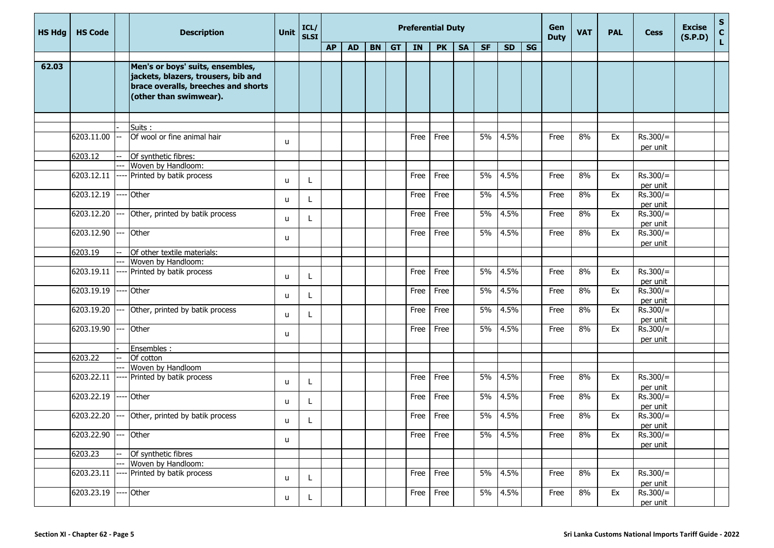| <b>HS Hdg</b> | <b>HS Code</b> |      | <b>Description</b>                                                                                                                       | Unit | ICL/<br><b>SLSI</b> |           | <b>Preferential Duty</b> |  |         |      |           |           |           |           |           |             | <b>VAT</b> | <b>PAL</b> | <b>Cess</b>            | <b>Excise</b><br>(S.P.D) | $\frac{s}{c}$<br>L. |
|---------------|----------------|------|------------------------------------------------------------------------------------------------------------------------------------------|------|---------------------|-----------|--------------------------|--|---------|------|-----------|-----------|-----------|-----------|-----------|-------------|------------|------------|------------------------|--------------------------|---------------------|
|               |                |      |                                                                                                                                          |      |                     | <b>AP</b> | <b>AD</b>                |  | $BN$ GT | IN   | <b>PK</b> | <b>SA</b> | <b>SF</b> | <b>SD</b> | <b>SG</b> | <b>Duty</b> |            |            |                        |                          |                     |
| 62.03         |                |      | Men's or boys' suits, ensembles,<br>jackets, blazers, trousers, bib and<br>brace overalls, breeches and shorts<br>(other than swimwear). |      |                     |           |                          |  |         |      |           |           |           |           |           |             |            |            |                        |                          |                     |
|               |                |      |                                                                                                                                          |      |                     |           |                          |  |         |      |           |           |           |           |           |             |            |            |                        |                          |                     |
|               | 6203.11.00     |      | Suits:<br>Of wool or fine animal hair                                                                                                    | u    |                     |           |                          |  |         | Free | Free      |           | 5%        | 4.5%      |           | Free        | 8%         | Ex         | $Rs.300/=$<br>per unit |                          |                     |
|               | 6203.12        |      | Of synthetic fibres:                                                                                                                     |      |                     |           |                          |  |         |      |           |           |           |           |           |             |            |            |                        |                          |                     |
|               |                |      | Woven by Handloom:                                                                                                                       |      |                     |           |                          |  |         |      |           |           |           |           |           |             |            |            |                        |                          |                     |
|               | 6203.12.11     |      | Printed by batik process                                                                                                                 | u    |                     |           |                          |  |         | Free | Free      |           | 5%        | 4.5%      |           | Free        | 8%         | Ex         | $Rs.300/=$<br>per unit |                          |                     |
|               | 6203.12.19     |      | Other                                                                                                                                    | u    |                     |           |                          |  |         | Free | Free      |           | 5%        | 4.5%      |           | Free        | 8%         | Ex         | $Rs.300/=$<br>per unit |                          |                     |
|               | 6203.12.20     |      | Other, printed by batik process                                                                                                          | u    |                     |           |                          |  |         | Free | Free      |           | 5%        | 4.5%      |           | Free        | 8%         | Ex         | $Rs.300/=$<br>per unit |                          |                     |
|               | 6203.12.90     |      | Other                                                                                                                                    | u    |                     |           |                          |  |         | Free | Free      |           | 5%        | 4.5%      |           | Free        | 8%         | Ex         | $Rs.300/=$<br>per unit |                          |                     |
|               | 6203.19        |      | Of other textile materials:                                                                                                              |      |                     |           |                          |  |         |      |           |           |           |           |           |             |            |            |                        |                          |                     |
|               |                |      | Woven by Handloom:                                                                                                                       |      |                     |           |                          |  |         |      |           |           |           |           |           |             |            |            |                        |                          |                     |
|               | 6203.19.11     |      | Printed by batik process                                                                                                                 | u    |                     |           |                          |  |         | Free | Free      |           | 5%        | 4.5%      |           | Free        | 8%         | Ex         | $Rs.300/=$<br>per unit |                          |                     |
|               | 6203.19.19     |      | Other                                                                                                                                    | u    |                     |           |                          |  |         | Free | Free      |           | 5%        | 4.5%      |           | Free        | 8%         | Ex         | $Rs.300/=$<br>per unit |                          |                     |
|               | 6203.19.20     |      | Other, printed by batik process                                                                                                          | u    |                     |           |                          |  |         | Free | Free      |           | 5%        | 4.5%      |           | Free        | 8%         | Ex         | $Rs.300/=$<br>per unit |                          |                     |
|               | 6203.19.90     |      | Other                                                                                                                                    | u    |                     |           |                          |  |         | Free | Free      |           | 5%        | 4.5%      |           | Free        | 8%         | Ex         | $Rs.300/=$<br>per unit |                          |                     |
|               |                |      | Ensembles :                                                                                                                              |      |                     |           |                          |  |         |      |           |           |           |           |           |             |            |            |                        |                          |                     |
|               | 6203.22        |      | Of cotton                                                                                                                                |      |                     |           |                          |  |         |      |           |           |           |           |           |             |            |            |                        |                          |                     |
|               |                |      | Woven by Handloom                                                                                                                        |      |                     |           |                          |  |         |      |           |           |           |           |           |             |            |            |                        |                          |                     |
|               | 6203.22.11     |      | Printed by batik process                                                                                                                 | u    | L                   |           |                          |  |         | Free | Free      |           | 5%        | 4.5%      |           | Free        | 8%         | Ex         | $Rs.300/=$<br>per unit |                          |                     |
|               | 6203.22.19     | ---- | Other                                                                                                                                    | u    | L                   |           |                          |  |         | Free | Free      |           | 5%        | 4.5%      |           | Free        | 8%         | Ex         | $Rs.300/=$<br>per unit |                          |                     |
|               | 6203.22.20     |      | Other, printed by batik process                                                                                                          | u    | L                   |           |                          |  |         | Free | Free      |           | 5%        | 4.5%      |           | Free        | 8%         | Ex         | $Rs.300/=$<br>per unit |                          |                     |
|               | 6203.22.90     |      | Other                                                                                                                                    | u    |                     |           |                          |  |         | Free | Free      |           | 5%        | 4.5%      |           | Free        | 8%         | Ex         | $Rs.300/=$<br>per unit |                          |                     |
|               | 6203.23        |      | Of synthetic fibres                                                                                                                      |      |                     |           |                          |  |         |      |           |           |           |           |           |             |            |            |                        |                          |                     |
|               |                |      | Woven by Handloom:                                                                                                                       |      |                     |           |                          |  |         |      |           |           |           |           |           |             |            |            |                        |                          |                     |
|               | 6203.23.11     |      | Printed by batik process                                                                                                                 | u    | L                   |           |                          |  |         | Free | Free      |           | 5%        | 4.5%      |           | Free        | 8%         | Ex         | $Rs.300/=$<br>per unit |                          |                     |
|               | 6203.23.19     |      | Other                                                                                                                                    | u    | L                   |           |                          |  |         | Free | Free      |           | 5%        | 4.5%      |           | Free        | 8%         | Ex         | $Rs.300/=$<br>per unit |                          |                     |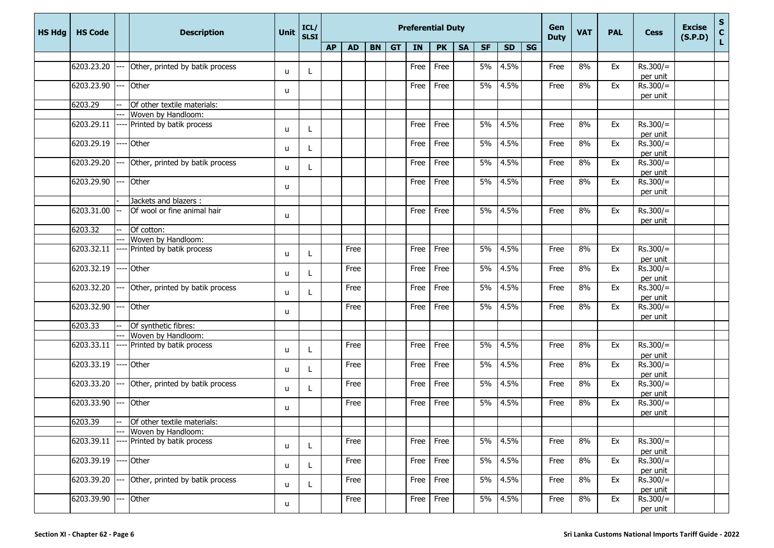| <b>HS Hdg</b> | <b>HS Code</b> |      | <b>Description</b>              | Unit         | ICL/<br><b>SLSI</b> |           |           |           |           | <b>Preferential Duty</b> |           |           |           |           | Gen<br><b>Duty</b> | <b>VAT</b> | <b>PAL</b> | <b>Cess</b> | <b>Excise</b><br>(S.P.D) | ${\sf s}$<br>$\mathbf c$ |    |
|---------------|----------------|------|---------------------------------|--------------|---------------------|-----------|-----------|-----------|-----------|--------------------------|-----------|-----------|-----------|-----------|--------------------|------------|------------|-------------|--------------------------|--------------------------|----|
|               |                |      |                                 |              |                     | <b>AP</b> | <b>AD</b> | <b>BN</b> | <b>GT</b> | IN                       | <b>PK</b> | <b>SA</b> | <b>SF</b> | <b>SD</b> | SG                 |            |            |             |                          |                          | L. |
|               |                |      |                                 |              |                     |           |           |           |           |                          |           |           |           |           |                    |            |            |             |                          |                          |    |
|               | 6203.23.20     |      | Other, printed by batik process | u            |                     |           |           |           |           | Free                     | Free      |           | 5%        | 4.5%      |                    | Free       | 8%         | Ex          | $Rs.300/=$               |                          |    |
|               | 6203.23.90     |      | Other                           |              |                     |           |           |           |           | Free                     | Free      |           | 5%        | 4.5%      |                    | Free       | 8%         | Ex          | per unit<br>$Rs.300/=$   |                          |    |
|               |                |      |                                 | u            |                     |           |           |           |           |                          |           |           |           |           |                    |            |            |             | per unit                 |                          |    |
|               | 6203.29        |      | Of other textile materials:     |              |                     |           |           |           |           |                          |           |           |           |           |                    |            |            |             |                          |                          |    |
|               |                |      | Woven by Handloom:              |              |                     |           |           |           |           |                          |           |           |           |           |                    |            |            |             |                          |                          |    |
|               | 6203.29.11     |      | Printed by batik process        | u            |                     |           |           |           |           | Free                     | Free      |           | 5%        | 4.5%      |                    | Free       | 8%         | Ex          | $Rs.300/=$<br>per unit   |                          |    |
|               | 6203.29.19     |      | Other                           | u            |                     |           |           |           |           | Free                     | Free      |           | 5%        | 4.5%      |                    | Free       | 8%         | Ex          | $Rs.300/=$<br>per unit   |                          |    |
|               | 6203.29.20     |      | Other, printed by batik process | u            |                     |           |           |           |           | Free                     | Free      |           | 5%        | 4.5%      |                    | Free       | 8%         | Ex          | $Rs.300/=$<br>per unit   |                          |    |
|               | 6203.29.90     |      | Other                           | u            |                     |           |           |           |           | Free                     | Free      |           | 5%        | 4.5%      |                    | Free       | 8%         | Ex          | $Rs.300/=$<br>per unit   |                          |    |
|               |                |      | Jackets and blazers :           |              |                     |           |           |           |           |                          |           |           |           |           |                    |            |            |             |                          |                          |    |
|               | 6203.31.00     |      | Of wool or fine animal hair     | u            |                     |           |           |           |           | Free                     | Free      |           | 5%        | 4.5%      |                    | Free       | 8%         | Ex          | $Rs.300/=$<br>per unit   |                          |    |
|               | 6203.32        | ÷÷   | Of cotton:                      |              |                     |           |           |           |           |                          |           |           |           |           |                    |            |            |             |                          |                          |    |
|               |                |      | Woven by Handloom:              |              |                     |           |           |           |           |                          |           |           |           |           |                    |            |            |             |                          |                          |    |
|               | 6203.32.11     |      | Printed by batik process        | u            |                     |           | Free      |           |           | Free                     | Free      |           | 5%        | 4.5%      |                    | Free       | 8%         | Ex          | $Rs.300/=$<br>per unit   |                          |    |
|               | 6203.32.19     |      | Other                           | u            |                     |           | Free      |           |           | Free                     | Free      |           | 5%        | 4.5%      |                    | Free       | 8%         | Ex          | $Rs.300/=$<br>per unit   |                          |    |
|               | 6203.32.20     |      | Other, printed by batik process | u            |                     |           | Free      |           |           | Free                     | Free      |           | 5%        | 4.5%      |                    | Free       | 8%         | Ex          | $Rs.300/=$<br>per unit   |                          |    |
|               | 6203.32.90     |      | Other                           | u            |                     |           | Free      |           |           | Free                     | Free      |           | 5%        | 4.5%      |                    | Free       | 8%         | Ex          | $Rs.300/=$<br>per unit   |                          |    |
|               | 6203.33        |      | Of synthetic fibres:            |              |                     |           |           |           |           |                          |           |           |           |           |                    |            |            |             |                          |                          |    |
|               |                |      | Woven by Handloom:              |              |                     |           |           |           |           |                          |           |           |           |           |                    |            |            |             |                          |                          |    |
|               | 6203.33.11     |      | Printed by batik process        | u            |                     |           | Free      |           |           | Free                     | Free      |           | 5%        | 4.5%      |                    | Free       | 8%         | Ex          | $Rs.300/=$<br>per unit   |                          |    |
|               | 6203.33.19     |      | Other                           | u            |                     |           | Free      |           |           | Free                     | Free      |           | 5%        | 4.5%      |                    | Free       | 8%         | Ex          | $Rs.300/=$<br>per unit   |                          |    |
|               | 6203.33.20     | --   | Other, printed by batik process | u            |                     |           | Free      |           |           | Free                     | Free      |           | 5%        | 4.5%      |                    | Free       | 8%         | Ex          | $Rs.300/=$<br>per unit   |                          |    |
|               | 6203.33.90     | $-$  | Other                           | u            |                     |           | Free      |           |           | Free                     | Free      |           | 5%        | 4.5%      |                    | Free       | 8%         | Ex          | $Rs.300/=$               |                          |    |
|               | 6203.39        | $-$  | Of other textile materials:     |              |                     |           |           |           |           |                          |           |           |           |           |                    |            |            |             | per unit                 |                          |    |
|               |                |      | Woven by Handloom:              |              |                     |           |           |           |           |                          |           |           |           |           |                    |            |            |             |                          |                          |    |
|               | 6203.39.11     |      | Printed by batik process        | u            |                     |           | Free      |           |           | Free                     | Free      |           | 5%        | 4.5%      |                    | Free       | 8%         | Ex          | $Rs.300/=$<br>per unit   |                          |    |
|               | 6203.39.19     |      | Other                           | u            |                     |           | Free      |           |           | Free                     | Free      |           | 5%        | 4.5%      |                    | Free       | 8%         | Ex          | $Rs.300/=$<br>per unit   |                          |    |
|               | 6203.39.20     |      | Other, printed by batik process | $\mathsf{u}$ |                     |           | Free      |           |           | Free                     | Free      |           | 5%        | 4.5%      |                    | Free       | 8%         | Ex          | $Rs.300/=$<br>per unit   |                          |    |
|               | 6203.39.90     | $--$ | Other                           | u            |                     |           | Free      |           |           | Free                     | Free      |           | 5%        | 4.5%      |                    | Free       | 8%         | Ex          | $Rs.300/=$<br>per unit   |                          |    |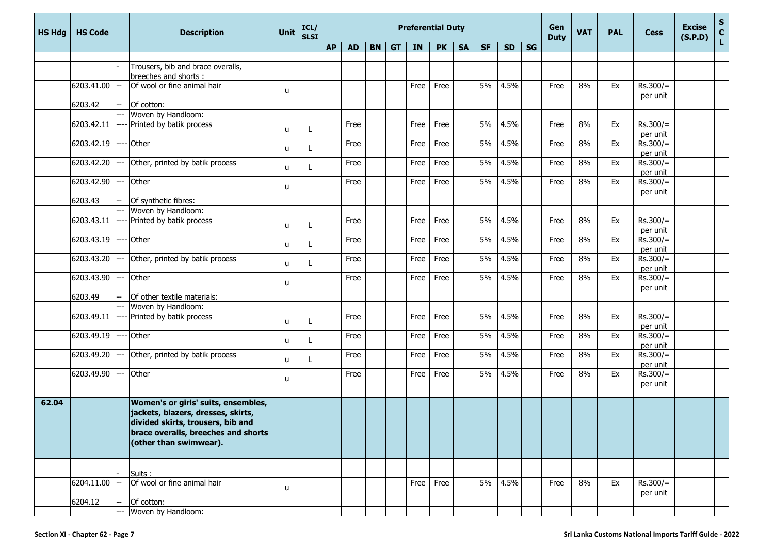| <b>HS Hdg</b> | <b>HS Code</b> |     | <b>Description</b>                                                                                                                                                              | <b>Unit</b>  | ICL/<br><b>SLSI</b> | <b>Preferential Duty</b> |           |  |         |      |           |           |           |           |           |             | <b>VAT</b> | <b>PAL</b> | <b>Cess</b>            | <b>Excise</b><br>(S.P.D) | $\frac{{\sf s}}{{\sf c}}$<br>Ĺ. |
|---------------|----------------|-----|---------------------------------------------------------------------------------------------------------------------------------------------------------------------------------|--------------|---------------------|--------------------------|-----------|--|---------|------|-----------|-----------|-----------|-----------|-----------|-------------|------------|------------|------------------------|--------------------------|---------------------------------|
|               |                |     |                                                                                                                                                                                 |              |                     | <b>AP</b>                | <b>AD</b> |  | $BN$ GT | IN   | <b>PK</b> | <b>SA</b> | <b>SF</b> | <b>SD</b> | <b>SG</b> | <b>Duty</b> |            |            |                        |                          |                                 |
|               |                |     |                                                                                                                                                                                 |              |                     |                          |           |  |         |      |           |           |           |           |           |             |            |            |                        |                          |                                 |
|               |                |     | Trousers, bib and brace overalls,                                                                                                                                               |              |                     |                          |           |  |         |      |           |           |           |           |           |             |            |            |                        |                          |                                 |
|               | 6203.41.00     |     | breeches and shorts :<br>Of wool or fine animal hair                                                                                                                            |              |                     |                          |           |  |         | Free | Free      |           | 5%        | 4.5%      |           | Free        | 8%         | Ex         | $Rs.300/=$             |                          |                                 |
|               |                |     |                                                                                                                                                                                 | u            |                     |                          |           |  |         |      |           |           |           |           |           |             |            |            | per unit               |                          |                                 |
|               | 6203.42        |     | Of cotton:                                                                                                                                                                      |              |                     |                          |           |  |         |      |           |           |           |           |           |             |            |            |                        |                          |                                 |
|               |                |     | Woven by Handloom:                                                                                                                                                              |              |                     |                          |           |  |         |      |           |           |           |           |           |             |            |            |                        |                          |                                 |
|               | 6203.42.11     |     | Printed by batik process                                                                                                                                                        | u            |                     |                          | Free      |  |         | Free | Free      |           | 5%        | 4.5%      |           | Free        | 8%         | Ex         | $Rs.300/=$<br>per unit |                          |                                 |
|               | 6203.42.19     |     | Other                                                                                                                                                                           | u            |                     |                          | Free      |  |         | Free | Free      |           | 5%        | 4.5%      |           | Free        | 8%         | Ex         | $Rs.300/=$<br>per unit |                          |                                 |
|               | 6203.42.20     |     | Other, printed by batik process                                                                                                                                                 | u            |                     |                          | Free      |  |         | Free | Free      |           | 5%        | 4.5%      |           | Free        | 8%         | Ex         | $Rs.300/=$<br>per unit |                          |                                 |
|               | 6203.42.90     |     | Other                                                                                                                                                                           | u            |                     |                          | Free      |  |         | Free | Free      |           | 5%        | 4.5%      |           | Free        | 8%         | Ex         | $Rs.300/=$<br>per unit |                          |                                 |
|               | 6203.43        |     | Of synthetic fibres:                                                                                                                                                            |              |                     |                          |           |  |         |      |           |           |           |           |           |             |            |            |                        |                          |                                 |
|               |                |     | Woven by Handloom:                                                                                                                                                              |              |                     |                          |           |  |         |      |           |           |           |           |           |             |            |            |                        |                          |                                 |
|               | 6203.43.11     |     | Printed by batik process                                                                                                                                                        | u            |                     |                          | Free      |  |         | Free | Free      |           | 5%        | 4.5%      |           | Free        | 8%         | Ex         | $Rs.300/=$<br>per unit |                          |                                 |
|               | 6203.43.19     |     | Other                                                                                                                                                                           | u            |                     |                          | Free      |  |         | Free | Free      |           | 5%        | 4.5%      |           | Free        | 8%         | Ex         | $Rs.300/=$<br>per unit |                          |                                 |
|               | 6203.43.20     | --- | Other, printed by batik process                                                                                                                                                 | u            |                     |                          | Free      |  |         | Free | Free      |           | 5%        | 4.5%      |           | Free        | 8%         | Ex         | $Rs.300/=$<br>per unit |                          |                                 |
|               | 6203.43.90 --- |     | Other                                                                                                                                                                           | u            |                     |                          | Free      |  |         | Free | Free      |           | 5%        | 4.5%      |           | Free        | 8%         | Ex         | $Rs.300/=$<br>per unit |                          |                                 |
|               | 6203.49        |     | Of other textile materials:                                                                                                                                                     |              |                     |                          |           |  |         |      |           |           |           |           |           |             |            |            |                        |                          |                                 |
|               |                |     | Woven by Handloom:                                                                                                                                                              |              |                     |                          |           |  |         |      |           |           |           |           |           |             |            |            |                        |                          |                                 |
|               | 6203.49.11     |     | Printed by batik process                                                                                                                                                        | u            |                     |                          | Free      |  |         | Free | Free      |           | 5%        | 4.5%      |           | Free        | 8%         | Ex         | $Rs.300/=$<br>per unit |                          |                                 |
|               | 6203.49.19     |     | Other                                                                                                                                                                           | u            |                     |                          | Free      |  |         | Free | Free      |           | 5%        | 4.5%      |           | Free        | 8%         | Ex         | $Rs.300/=$<br>per unit |                          |                                 |
|               | 6203.49.20     |     | Other, printed by batik process                                                                                                                                                 | u            |                     |                          | Free      |  |         | Free | Free      |           | 5%        | 4.5%      |           | Free        | 8%         | Ex         | $Rs.300/=$<br>per unit |                          |                                 |
|               | 6203.49.90     |     | Other                                                                                                                                                                           | u            |                     |                          | Free      |  |         | Free | Free      |           | 5%        | 4.5%      |           | Free        | 8%         | Ex         | $Rs.300/=$<br>per unit |                          |                                 |
|               |                |     |                                                                                                                                                                                 |              |                     |                          |           |  |         |      |           |           |           |           |           |             |            |            |                        |                          |                                 |
| 62.04         |                |     | Women's or girls' suits, ensembles,<br>jackets, blazers, dresses, skirts,<br>divided skirts, trousers, bib and<br>brace overalls, breeches and shorts<br>(other than swimwear). |              |                     |                          |           |  |         |      |           |           |           |           |           |             |            |            |                        |                          |                                 |
|               |                |     |                                                                                                                                                                                 |              |                     |                          |           |  |         |      |           |           |           |           |           |             |            |            |                        |                          |                                 |
|               |                |     | Suits:                                                                                                                                                                          |              |                     |                          |           |  |         |      |           |           |           |           |           |             |            |            |                        |                          |                                 |
|               | 6204.11.00     |     | Of wool or fine animal hair                                                                                                                                                     | $\mathsf{u}$ |                     |                          |           |  |         | Free | Free      |           |           | 5% 4.5%   |           | Free        | 8%         | Ex         | $Rs.300/=$<br>per unit |                          |                                 |
|               | 6204.12        |     | Of cotton:                                                                                                                                                                      |              |                     |                          |           |  |         |      |           |           |           |           |           |             |            |            |                        |                          |                                 |
|               |                |     | Woven by Handloom:                                                                                                                                                              |              |                     |                          |           |  |         |      |           |           |           |           |           |             |            |            |                        |                          |                                 |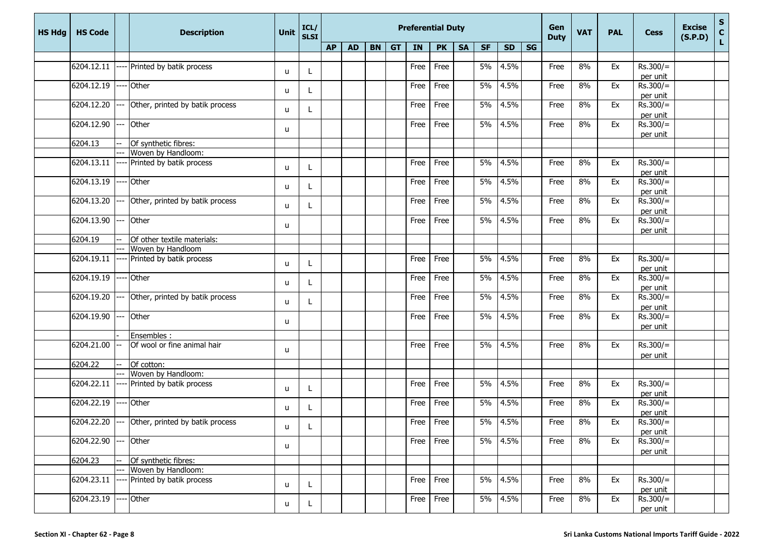| <b>HS Hdg</b> | <b>HS Code</b> |      | <b>Description</b>                             | <b>Unit</b>  | ICL/<br><b>SLSI</b> |           | <b>Preferential Duty</b> |           |           |             |           |           |           |           |    |      | <b>VAT</b> | <b>PAL</b> | <b>Cess</b>            | <b>Excise</b><br>(S.P.D) | S<br>$\mathbf c$ |
|---------------|----------------|------|------------------------------------------------|--------------|---------------------|-----------|--------------------------|-----------|-----------|-------------|-----------|-----------|-----------|-----------|----|------|------------|------------|------------------------|--------------------------|------------------|
|               |                |      |                                                |              |                     | <b>AP</b> | <b>AD</b>                | <b>BN</b> | <b>GT</b> | IN          | <b>PK</b> | <b>SA</b> | <b>SF</b> | <b>SD</b> | SG |      |            |            |                        |                          | L                |
|               |                |      |                                                |              |                     |           |                          |           |           |             |           |           |           |           |    |      |            |            |                        |                          |                  |
|               | 6204.12.11     |      | Printed by batik process                       | u            |                     |           |                          |           |           | Free        | Free      |           | 5%        | 4.5%      |    | Free | 8%         | Ex         | $Rs.300/=$             |                          |                  |
|               | 6204.12.19     |      | Other                                          |              |                     |           |                          |           |           | Free        | Free      |           | 5%        | 4.5%      |    |      |            | Ex         | per unit<br>$Rs.300/=$ |                          |                  |
|               |                |      |                                                | u            |                     |           |                          |           |           |             |           |           |           |           |    | Free | 8%         |            | per unit               |                          |                  |
|               | 6204.12.20     |      | Other, printed by batik process                |              |                     |           |                          |           |           | Free        | Free      |           | 5%        | 4.5%      |    | Free | 8%         | Ex         | $Rs.300/=$             |                          |                  |
|               |                |      |                                                | u            |                     |           |                          |           |           |             |           |           |           |           |    |      |            |            | per unit               |                          |                  |
|               | 6204.12.90     | ---  | <b>Other</b>                                   |              |                     |           |                          |           |           | Free        | Free      |           | 5%        | 4.5%      |    | Free | 8%         | Ex         | $Rs.300/=$             |                          |                  |
|               |                |      |                                                | u            |                     |           |                          |           |           |             |           |           |           |           |    |      |            |            | per unit               |                          |                  |
|               | 6204.13        |      | Of synthetic fibres:                           |              |                     |           |                          |           |           |             |           |           |           |           |    |      |            |            |                        |                          |                  |
|               |                |      | Woven by Handloom:                             |              |                     |           |                          |           |           |             |           |           |           |           |    |      |            |            |                        |                          |                  |
|               | 6204.13.11     |      | Printed by batik process                       | u            |                     |           |                          |           |           | Free        | Free      |           | 5%        | 4.5%      |    | Free | 8%         | Ex         | $Rs.300/=$             |                          |                  |
|               |                |      |                                                |              |                     |           |                          |           |           |             |           |           |           |           |    |      |            |            | per unit               |                          |                  |
|               | 6204.13.19     |      | Other                                          | u            |                     |           |                          |           |           | Free        | Free      |           | 5%        | 4.5%      |    | Free | 8%         | Ex         | $Rs.300/=$             |                          |                  |
|               | 6204.13.20     | $--$ | Other, printed by batik process                |              |                     |           |                          |           |           | Free        | Free      |           | 5%        | 4.5%      |    | Free | 8%         | Ex         | per unit<br>$Rs.300/=$ |                          |                  |
|               |                |      |                                                | u            |                     |           |                          |           |           |             |           |           |           |           |    |      |            |            | per unit               |                          |                  |
|               | 6204.13.90     |      | Other                                          |              |                     |           |                          |           |           | Free        | Free      |           | 5%        | 4.5%      |    | Free | 8%         | Ex         | $Rs.300/=$             |                          |                  |
|               |                |      |                                                | u            |                     |           |                          |           |           |             |           |           |           |           |    |      |            |            | per unit               |                          |                  |
|               | 6204.19        |      | Of other textile materials:                    |              |                     |           |                          |           |           |             |           |           |           |           |    |      |            |            |                        |                          |                  |
|               |                | ---  | Woven by Handloom                              |              |                     |           |                          |           |           |             |           |           |           |           |    |      |            |            |                        |                          |                  |
|               | 6204.19.11     |      | Printed by batik process                       | u            |                     |           |                          |           |           | Free        | Free      |           | 5%        | 4.5%      |    | Free | 8%         | Ex         | $Rs.300/=$             |                          |                  |
|               |                |      |                                                |              |                     |           |                          |           |           |             |           |           |           |           |    |      |            |            | per unit               |                          |                  |
|               | 6204.19.19     |      | Other                                          | u            |                     |           |                          |           |           | Free        | Free      |           | 5%        | 4.5%      |    | Free | 8%         | Ex         | $Rs.300/=$             |                          |                  |
|               |                |      |                                                |              |                     |           |                          |           |           |             |           |           |           |           |    |      |            |            | per unit               |                          |                  |
|               | 6204.19.20     | ---  | Other, printed by batik process                | u            |                     |           |                          |           |           | Free        | Free      |           | 5%        | 4.5%      |    | Free | 8%         | Ex         | $Rs.300/=$             |                          |                  |
|               | 6204.19.90     |      | Other                                          |              |                     |           |                          |           |           | Free        | Free      |           | 5%        | 4.5%      |    | Free | 8%         | Ex         | per unit<br>$Rs.300/=$ |                          |                  |
|               |                |      |                                                | u            |                     |           |                          |           |           |             |           |           |           |           |    |      |            |            | per unit               |                          |                  |
|               |                |      | Ensembles :                                    |              |                     |           |                          |           |           |             |           |           |           |           |    |      |            |            |                        |                          |                  |
|               | 6204.21.00     |      | Of wool or fine animal hair                    |              |                     |           |                          |           |           | Free        | Free      |           | 5%        | 4.5%      |    | Free | 8%         | Ex         | $Rs.300/=$             |                          |                  |
|               |                |      |                                                | u            |                     |           |                          |           |           |             |           |           |           |           |    |      |            |            | per unit               |                          |                  |
|               | 6204.22        | L.   | Of cotton:                                     |              |                     |           |                          |           |           |             |           |           |           |           |    |      |            |            |                        |                          |                  |
|               |                |      | Woven by Handloom:                             |              |                     |           |                          |           |           |             |           |           |           |           |    |      |            |            |                        |                          |                  |
|               | 6204.22.11     |      | Printed by batik process                       | u            |                     |           |                          |           |           | Free        | Free      |           | 5%        | 4.5%      |    | Free | 8%         | Ex         | $Rs.300/=$             |                          |                  |
|               |                |      |                                                |              |                     |           |                          |           |           |             |           |           |           |           |    |      |            |            | per unit               |                          |                  |
|               | 6204.22.19     |      | Other                                          | u            |                     |           |                          |           |           | Free        | Free      |           | 5%        | 4.5%      |    | Free | 8%         | Ex         | $Rs.300/=$             |                          |                  |
|               |                |      | 6204.22.20 --- Other, printed by batik process |              |                     |           |                          |           |           |             | Free      |           | 5%        | 4.5%      |    |      | 8%         | Ex         | per unit<br>$Rs.300/=$ |                          |                  |
|               |                |      |                                                | u            |                     |           |                          |           |           | Free        |           |           |           |           |    | Free |            |            | per unit               |                          |                  |
|               | 6204.22.90     |      | Other                                          |              |                     |           |                          |           |           | Free        | Free      |           | 5%        | 4.5%      |    | Free | 8%         | Ex         | $Rs.300/=$             |                          |                  |
|               |                |      |                                                | u.           |                     |           |                          |           |           |             |           |           |           |           |    |      |            |            | per unit               |                          |                  |
|               | 6204.23        |      | Of synthetic fibres:                           |              |                     |           |                          |           |           |             |           |           |           |           |    |      |            |            |                        |                          |                  |
|               |                | $-$  | Woven by Handloom:                             |              |                     |           |                          |           |           |             |           |           |           |           |    |      |            |            |                        |                          |                  |
|               | 6204.23.11     |      | Printed by batik process                       | $\mathsf{u}$ | L.                  |           |                          |           |           | Free        | Free      |           | 5%        | 4.5%      |    | Free | 8%         | Ex         | $Rs.300/=$             |                          |                  |
|               |                |      |                                                |              |                     |           |                          |           |           |             |           |           |           |           |    |      |            |            | per unit               |                          |                  |
|               | 6204.23.19     |      | Other                                          | u            | L.                  |           |                          |           |           | <b>Free</b> | Free      |           | 5%        | 4.5%      |    | Free | 8%         | Ex         | $Rs.300/=$             |                          |                  |
|               |                |      |                                                |              |                     |           |                          |           |           |             |           |           |           |           |    |      |            |            | per unit               |                          |                  |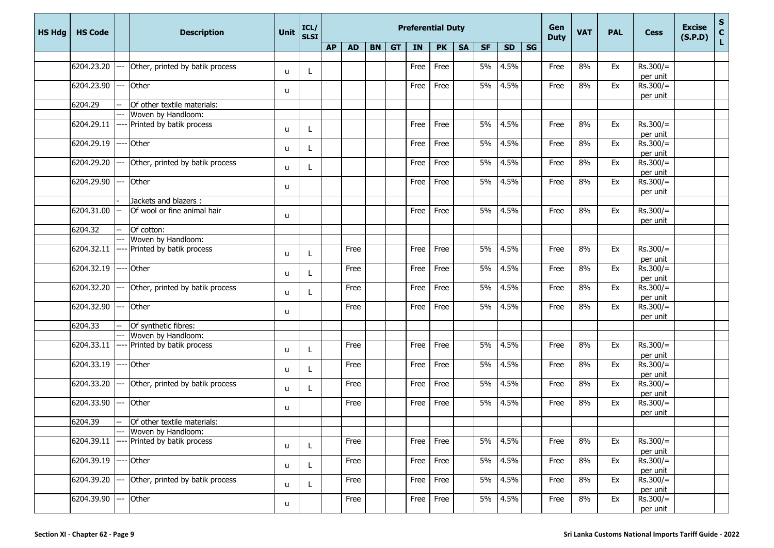| <b>HS Hdg</b> | <b>HS Code</b> |      | <b>Description</b>              | Unit         | ICL/<br><b>SLSI</b> |           |           |    |           | <b>Preferential Duty</b> |           |           |           |           | Gen<br><b>Duty</b> | <b>VAT</b> | <b>PAL</b> | <b>Cess</b> | <b>Excise</b><br>(S.P.D) | ${\sf s}$<br>$\mathbf c$ |    |
|---------------|----------------|------|---------------------------------|--------------|---------------------|-----------|-----------|----|-----------|--------------------------|-----------|-----------|-----------|-----------|--------------------|------------|------------|-------------|--------------------------|--------------------------|----|
|               |                |      |                                 |              |                     | <b>AP</b> | <b>AD</b> | BN | <b>GT</b> | IN                       | <b>PK</b> | <b>SA</b> | <b>SF</b> | <b>SD</b> | SG                 |            |            |             |                          |                          | L. |
|               |                |      |                                 |              |                     |           |           |    |           |                          |           |           |           |           |                    |            |            |             |                          |                          |    |
|               | 6204.23.20     |      | Other, printed by batik process | u            |                     |           |           |    |           | Free                     | Free      |           | 5%        | 4.5%      |                    | Free       | 8%         | Ex          | $Rs.300/=$               |                          |    |
|               | 6204.23.90     |      | Other                           |              |                     |           |           |    |           | Free                     | Free      |           | 5%        | 4.5%      |                    | Free       | 8%         | Ex          | per unit<br>$Rs.300/=$   |                          |    |
|               |                |      |                                 | u            |                     |           |           |    |           |                          |           |           |           |           |                    |            |            |             | per unit                 |                          |    |
|               | 6204.29        |      | Of other textile materials:     |              |                     |           |           |    |           |                          |           |           |           |           |                    |            |            |             |                          |                          |    |
|               |                |      | Woven by Handloom:              |              |                     |           |           |    |           |                          |           |           |           |           |                    |            |            |             |                          |                          |    |
|               | 6204.29.11     |      | Printed by batik process        | u            |                     |           |           |    |           | Free                     | Free      |           | 5%        | 4.5%      |                    | Free       | 8%         | Ex          | $Rs.300/=$<br>per unit   |                          |    |
|               | 6204.29.19     |      | Other                           | u            |                     |           |           |    |           | Free                     | Free      |           | 5%        | 4.5%      |                    | Free       | 8%         | Ex          | $Rs.300/=$<br>per unit   |                          |    |
|               | 6204.29.20     |      | Other, printed by batik process | u            |                     |           |           |    |           | Free                     | Free      |           | 5%        | 4.5%      |                    | Free       | 8%         | Ex          | $Rs.300/=$<br>per unit   |                          |    |
|               | 6204.29.90     |      | Other                           | u            |                     |           |           |    |           | Free                     | Free      |           | 5%        | 4.5%      |                    | Free       | 8%         | Ex          | $Rs.300/=$<br>per unit   |                          |    |
|               |                |      | Jackets and blazers :           |              |                     |           |           |    |           |                          |           |           |           |           |                    |            |            |             |                          |                          |    |
|               | 6204.31.00     |      | Of wool or fine animal hair     | u            |                     |           |           |    |           | Free                     | Free      |           | 5%        | 4.5%      |                    | Free       | 8%         | Ex          | $Rs.300/=$<br>per unit   |                          |    |
|               | 6204.32        | ÷÷   | Of cotton:                      |              |                     |           |           |    |           |                          |           |           |           |           |                    |            |            |             |                          |                          |    |
|               |                |      | Woven by Handloom:              |              |                     |           |           |    |           |                          |           |           |           |           |                    |            |            |             |                          |                          |    |
|               | 6204.32.11     |      | Printed by batik process        | u            |                     |           | Free      |    |           | Free                     | Free      |           | 5%        | 4.5%      |                    | Free       | 8%         | Ex          | $Rs.300/=$<br>per unit   |                          |    |
|               | 6204.32.19     |      | Other                           | u            |                     |           | Free      |    |           | Free                     | Free      |           | 5%        | 4.5%      |                    | Free       | 8%         | Ex          | $Rs.300/=$<br>per unit   |                          |    |
|               | 6204.32.20     |      | Other, printed by batik process | u            |                     |           | Free      |    |           | Free                     | Free      |           | 5%        | 4.5%      |                    | Free       | 8%         | Ex          | $Rs.300/=$<br>per unit   |                          |    |
|               | 6204.32.90     |      | Other                           | u            |                     |           | Free      |    |           | Free                     | Free      |           | 5%        | 4.5%      |                    | Free       | 8%         | Ex          | $Rs.300/=$<br>per unit   |                          |    |
|               | 6204.33        |      | Of synthetic fibres:            |              |                     |           |           |    |           |                          |           |           |           |           |                    |            |            |             |                          |                          |    |
|               |                |      | Woven by Handloom:              |              |                     |           |           |    |           |                          |           |           |           |           |                    |            |            |             |                          |                          |    |
|               | 6204.33.11     |      | Printed by batik process        | u            |                     |           | Free      |    |           | Free                     | Free      |           | 5%        | 4.5%      |                    | Free       | 8%         | Ex          | $Rs.300/=$<br>per unit   |                          |    |
|               | 6204.33.19     |      | Other                           | u            |                     |           | Free      |    |           | Free                     | Free      |           | 5%        | 4.5%      |                    | Free       | 8%         | Ex          | $Rs.300/=$<br>per unit   |                          |    |
|               | 6204.33.20     | --   | Other, printed by batik process | u            |                     |           | Free      |    |           | Free                     | Free      |           | 5%        | 4.5%      |                    | Free       | 8%         | Ex          | $Rs.300/=$<br>per unit   |                          |    |
|               | 6204.33.90     | $-$  | Other                           | u            |                     |           | Free      |    |           | Free                     | Free      |           | 5%        | 4.5%      |                    | Free       | 8%         | Ex          | $Rs.300/=$<br>per unit   |                          |    |
|               | 6204.39        | $-$  | Of other textile materials:     |              |                     |           |           |    |           |                          |           |           |           |           |                    |            |            |             |                          |                          |    |
|               |                |      | Woven by Handloom:              |              |                     |           |           |    |           |                          |           |           |           |           |                    |            |            |             |                          |                          |    |
|               | 6204.39.11     |      | Printed by batik process        | u            |                     |           | Free      |    |           | Free                     | Free      |           | 5%        | 4.5%      |                    | Free       | 8%         | Ex          | $Rs.300/=$<br>per unit   |                          |    |
|               | 6204.39.19     |      | Other                           | u            |                     |           | Free      |    |           | Free                     | Free      |           | 5%        | 4.5%      |                    | Free       | 8%         | Ex          | $Rs.300/=$<br>per unit   |                          |    |
|               | 6204.39.20     |      | Other, printed by batik process | $\mathsf{u}$ |                     |           | Free      |    |           | Free                     | Free      |           | 5%        | 4.5%      |                    | Free       | 8%         | Ex          | $Rs.300/=$<br>per unit   |                          |    |
|               | 6204.39.90     | $--$ | Other                           | u            |                     |           | Free      |    |           | Free                     | Free      |           | 5%        | 4.5%      |                    | Free       | 8%         | Ex          | $Rs.300/=$<br>per unit   |                          |    |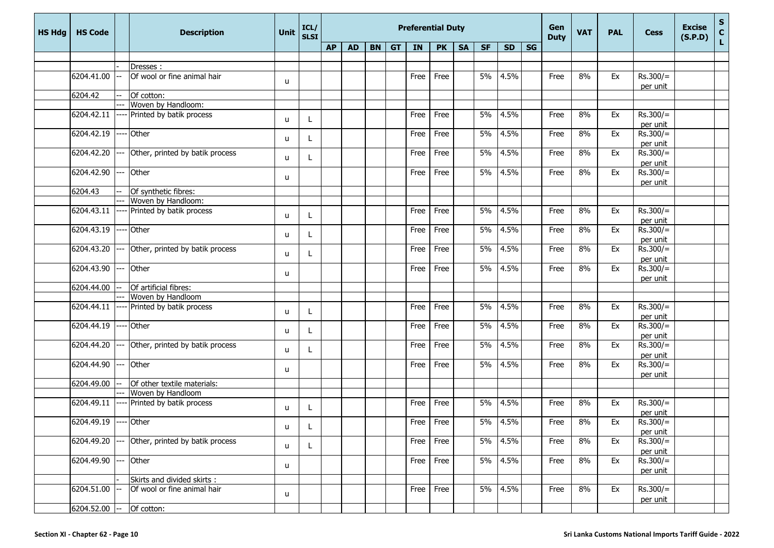| <b>HS Hdg</b> | <b>HS Code</b>  |         | <b>Description</b>               | <b>Unit</b> | ICL/<br><b>SLSI</b> |           |           |         | <b>Preferential Duty</b> |           |           |           |           |    | Gen<br><b>Duty</b> | <b>VAT</b> | <b>PAL</b> | <b>Cess</b>            | <b>Excise</b><br>(S.P.D) | $\boldsymbol{\mathsf{s}}$<br>$\mathbf c$ |
|---------------|-----------------|---------|----------------------------------|-------------|---------------------|-----------|-----------|---------|--------------------------|-----------|-----------|-----------|-----------|----|--------------------|------------|------------|------------------------|--------------------------|------------------------------------------|
|               |                 |         |                                  |             |                     | <b>AP</b> | <b>AD</b> | $BN$ GT | IN                       | <b>PK</b> | <b>SA</b> | <b>SF</b> | <b>SD</b> | SG |                    |            |            |                        |                          | L                                        |
|               |                 |         |                                  |             |                     |           |           |         |                          |           |           |           |           |    |                    |            |            |                        |                          |                                          |
|               |                 |         | Dresses:                         |             |                     |           |           |         |                          |           |           |           |           |    |                    |            |            |                        |                          |                                          |
|               | 6204.41.00      |         | Of wool or fine animal hair      | u           |                     |           |           |         | Free                     | Free      |           | 5%        | 4.5%      |    | Free               | 8%         | Ex         | $Rs.300/=$             |                          |                                          |
|               | 6204.42         |         |                                  |             |                     |           |           |         |                          |           |           |           |           |    |                    |            |            | per unit               |                          |                                          |
|               |                 |         | Of cotton:<br>Woven by Handloom: |             |                     |           |           |         |                          |           |           |           |           |    |                    |            |            |                        |                          |                                          |
|               | 6204.42.11      |         | Printed by batik process         |             |                     |           |           |         | Free                     | Free      |           | 5%        | 4.5%      |    | Free               | 8%         | Ex         | $Rs.300/=$             |                          |                                          |
|               |                 |         |                                  | u           |                     |           |           |         |                          |           |           |           |           |    |                    |            |            | per unit               |                          |                                          |
|               | 6204.42.19      |         | Other                            |             |                     |           |           |         | Free                     | Free      |           | 5%        | 4.5%      |    | Free               | 8%         | Ex         | $Rs.300/=$             |                          |                                          |
|               |                 |         |                                  | u           |                     |           |           |         |                          |           |           |           |           |    |                    |            |            | per unit               |                          |                                          |
|               | 6204.42.20      |         | Other, printed by batik process  |             |                     |           |           |         | Free                     | Free      |           | 5%        | 4.5%      |    | Free               | 8%         | Ex         | $Rs.300/=$             |                          |                                          |
|               |                 |         |                                  | u           | L                   |           |           |         |                          |           |           |           |           |    |                    |            |            | per unit               |                          |                                          |
|               | 6204.42.90      |         | Other                            |             |                     |           |           |         | Free                     | Free      |           | 5%        | 4.5%      |    | Free               | 8%         | Ex         | $Rs.300/=$             |                          |                                          |
|               |                 |         |                                  | u           |                     |           |           |         |                          |           |           |           |           |    |                    |            |            | per unit               |                          |                                          |
|               | 6204.43         |         | Of synthetic fibres:             |             |                     |           |           |         |                          |           |           |           |           |    |                    |            |            |                        |                          |                                          |
|               |                 |         | Woven by Handloom:               |             |                     |           |           |         |                          |           |           |           |           |    |                    |            |            |                        |                          |                                          |
|               | 6204.43.11      |         | Printed by batik process         | u           | L                   |           |           |         | Free                     | Free      |           | 5%        | 4.5%      |    | Free               | 8%         | Ex         | $Rs.300/=$             |                          |                                          |
|               |                 |         |                                  |             |                     |           |           |         |                          |           |           |           |           |    |                    |            |            | per unit               |                          |                                          |
|               | 6204.43.19      |         | Other                            | u           |                     |           |           |         | Free                     | Free      |           | 5%        | 4.5%      |    | Free               | 8%         | Ex         | $Rs.300/=$             |                          |                                          |
|               |                 |         |                                  |             |                     |           |           |         |                          |           |           |           |           |    |                    |            |            | per unit               |                          |                                          |
|               | 6204.43.20      | <u></u> | Other, printed by batik process  | u           |                     |           |           |         | Free                     | Free      |           | 5%        | 4.5%      |    | Free               | 8%         | Ex         | $Rs.300/=$             |                          |                                          |
|               |                 |         |                                  |             |                     |           |           |         |                          |           |           |           |           |    |                    |            |            | per unit               |                          |                                          |
|               | 6204.43.90      |         | Other                            | u           |                     |           |           |         | Free                     | Free      |           | 5%        | 4.5%      |    | Free               | 8%         | Ex         | $Rs.300/=$             |                          |                                          |
|               |                 |         |                                  |             |                     |           |           |         |                          |           |           |           |           |    |                    |            |            | per unit               |                          |                                          |
|               | 6204.44.00      |         | Of artificial fibres:            |             |                     |           |           |         |                          |           |           |           |           |    |                    |            |            |                        |                          |                                          |
|               | 6204.44.11      |         | Woven by Handloom                |             |                     |           |           |         |                          | Free      |           | 5%        | 4.5%      |    |                    | 8%         |            |                        |                          |                                          |
|               |                 |         | Printed by batik process         | u           |                     |           |           |         | Free                     |           |           |           |           |    | Free               |            | Ex         | $Rs.300/=$             |                          |                                          |
|               | 6204.44.19      |         | Other                            |             |                     |           |           |         | Free                     | Free      |           | 5%        | 4.5%      |    | Free               | 8%         | Ex         | per unit<br>$Rs.300/=$ |                          |                                          |
|               |                 |         |                                  | u           |                     |           |           |         |                          |           |           |           |           |    |                    |            |            | per unit               |                          |                                          |
|               | 6204.44.20      | ---     | Other, printed by batik process  |             |                     |           |           |         | Free                     | Free      |           | 5%        | 4.5%      |    | Free               | 8%         | Ex         | $Rs.300/=$             |                          |                                          |
|               |                 |         |                                  | u           |                     |           |           |         |                          |           |           |           |           |    |                    |            |            | per unit               |                          |                                          |
|               | 6204.44.90      |         | Other                            |             |                     |           |           |         | Free                     | Free      |           | 5%        | 4.5%      |    | Free               | 8%         | Ex         | $Rs.300/=$             |                          |                                          |
|               |                 |         |                                  | u           |                     |           |           |         |                          |           |           |           |           |    |                    |            |            | per unit               |                          |                                          |
|               | 6204.49.00      |         | Of other textile materials:      |             |                     |           |           |         |                          |           |           |           |           |    |                    |            |            |                        |                          |                                          |
|               |                 |         | Woven by Handloom                |             |                     |           |           |         |                          |           |           |           |           |    |                    |            |            |                        |                          |                                          |
|               | 6204.49.11      |         | Printed by batik process         | u           |                     |           |           |         | Free                     | Free      |           | 5%        | 4.5%      |    | Free               | 8%         | Ex         | $Rs.300/=$             |                          |                                          |
|               |                 |         |                                  |             |                     |           |           |         |                          |           |           |           |           |    |                    |            |            | per unit               |                          |                                          |
|               | 6204.49.19      |         | Other                            | u           |                     |           |           |         | Free                     | Free      |           | 5%        | 4.5%      |    | Free               | 8%         | Ex         | $Rs.300/=$             |                          |                                          |
|               |                 |         |                                  |             |                     |           |           |         |                          |           |           |           |           |    |                    |            |            | per unit               |                          |                                          |
|               | 6204.49.20      | ---     | Other, printed by batik process  | u           |                     |           |           |         | Free                     | Free      |           | 5%        | 4.5%      |    | Free               | 8%         | Ex         | $Rs.300/=$             |                          |                                          |
|               |                 |         |                                  |             |                     |           |           |         |                          |           |           |           |           |    |                    |            |            | per unit               |                          |                                          |
|               | 6204.49.90      | ---     | Other                            | u           |                     |           |           |         | Free                     | Free      |           | 5%        | 4.5%      |    | Free               | 8%         | Ex         | $Rs.300/=$             |                          |                                          |
|               |                 |         |                                  |             |                     |           |           |         |                          |           |           |           |           |    |                    |            |            | per unit               |                          |                                          |
|               |                 |         | Skirts and divided skirts :      |             |                     |           |           |         |                          |           |           |           |           |    |                    |            |            |                        |                          |                                          |
|               | 6204.51.00      |         | Of wool or fine animal hair      | u           |                     |           |           |         | Free                     | Free      |           | 5%        | 4.5%      |    | Free               | 8%         | Ex         | $Rs.300/=$<br>per unit |                          |                                          |
|               | $6204.52.00$ -- |         | Of cotton:                       |             |                     |           |           |         |                          |           |           |           |           |    |                    |            |            |                        |                          |                                          |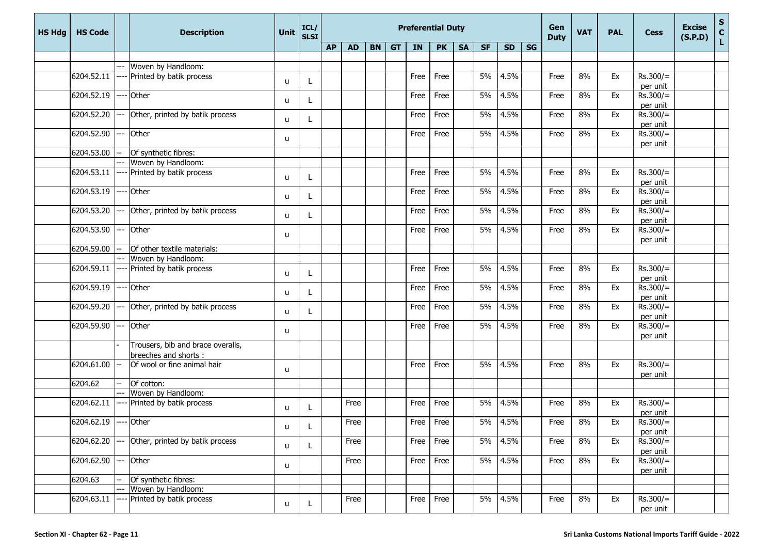| <b>HS Hdg</b> | <b>HS Code</b> |     | <b>Description</b>                         | <b>Unit</b> | ICL/<br><b>SLSI</b> |           |           |       | <b>Preferential Duty</b> |             |           |           |           |    | Gen<br><b>Duty</b> | <b>VAT</b> | <b>PAL</b> | <b>Cess</b>            | <b>Excise</b><br>(S.P.D) | $\mathbf S$<br>$\mathbf c$ |
|---------------|----------------|-----|--------------------------------------------|-------------|---------------------|-----------|-----------|-------|--------------------------|-------------|-----------|-----------|-----------|----|--------------------|------------|------------|------------------------|--------------------------|----------------------------|
|               |                |     |                                            |             |                     | <b>AP</b> | <b>AD</b> | BN GT | IN                       | <b>PK</b>   | <b>SA</b> | <b>SF</b> | <b>SD</b> | SG |                    |            |            |                        |                          | L                          |
|               |                |     |                                            |             |                     |           |           |       |                          |             |           |           |           |    |                    |            |            |                        |                          |                            |
|               |                | --- | Woven by Handloom:                         |             |                     |           |           |       |                          |             |           |           |           |    |                    |            |            |                        |                          |                            |
|               | 6204.52.11     |     | Printed by batik process                   | u           |                     |           |           |       | Free                     | Free        |           | 5%        | 4.5%      |    | Free               | 8%         | Ex         | $Rs.300/=$             |                          |                            |
|               |                |     |                                            |             |                     |           |           |       |                          |             |           |           |           |    |                    |            |            | per unit               |                          |                            |
|               | 6204.52.19     |     | Other                                      | u           |                     |           |           |       | Free                     | Free        |           | 5%        | 4.5%      |    | Free               | 8%         | Ex         | $Rs.300/=$             |                          |                            |
|               | 6204.52.20     |     |                                            |             |                     |           |           |       | Free                     | Free        |           | 5%        | 4.5%      |    | Free               | 8%         | Ex         | per unit<br>$Rs.300/=$ |                          |                            |
|               |                |     | Other, printed by batik process            | u           |                     |           |           |       |                          |             |           |           |           |    |                    |            |            | per unit               |                          |                            |
|               | 6204.52.90     |     | Other                                      |             |                     |           |           |       | Free                     | Free        |           | 5%        | 4.5%      |    | Free               | 8%         | Ex         | $Rs.300/=$             |                          |                            |
|               |                |     |                                            | u           |                     |           |           |       |                          |             |           |           |           |    |                    |            |            | per unit               |                          |                            |
|               | 6204.53.00     |     | Of synthetic fibres:                       |             |                     |           |           |       |                          |             |           |           |           |    |                    |            |            |                        |                          |                            |
|               |                |     | Woven by Handloom:                         |             |                     |           |           |       |                          |             |           |           |           |    |                    |            |            |                        |                          |                            |
|               | 6204.53.11     |     | Printed by batik process                   |             |                     |           |           |       | Free                     | Free        |           | 5%        | 4.5%      |    | Free               | 8%         | Ex         | $Rs.300/=$             |                          |                            |
|               |                |     |                                            | u           | L                   |           |           |       |                          |             |           |           |           |    |                    |            |            | per unit               |                          |                            |
|               | 6204.53.19     |     | Other                                      |             |                     |           |           |       | Free                     | Free        |           | 5%        | 4.5%      |    | Free               | 8%         | Ex         | $Rs.300/=$             |                          |                            |
|               |                |     |                                            | u           | Ι.                  |           |           |       |                          |             |           |           |           |    |                    |            |            | per unit               |                          |                            |
|               | 6204.53.20     | --- | Other, printed by batik process            | u           |                     |           |           |       | Free                     | Free        |           | 5%        | 4.5%      |    | Free               | 8%         | Ex         | $Rs.300/=$             |                          |                            |
|               |                |     |                                            |             | L                   |           |           |       |                          |             |           |           |           |    |                    |            |            | per unit               |                          |                            |
|               | 6204.53.90     |     | Other                                      | u           |                     |           |           |       | Free                     | Free        |           | 5%        | 4.5%      |    | Free               | 8%         | Ex         | $Rs.300/=$             |                          |                            |
|               |                |     |                                            |             |                     |           |           |       |                          |             |           |           |           |    |                    |            |            | per unit               |                          |                            |
|               | 6204.59.00     |     | Of other textile materials:                |             |                     |           |           |       |                          |             |           |           |           |    |                    |            |            |                        |                          |                            |
|               |                |     | Woven by Handloom:                         |             |                     |           |           |       |                          |             |           |           |           |    |                    |            |            |                        |                          |                            |
|               | 6204.59.11     |     | Printed by batik process                   | u           |                     |           |           |       | Free                     | Free        |           | 5%        | 4.5%      |    | Free               | 8%         | Ex         | $Rs.300/=$             |                          |                            |
|               |                |     |                                            |             |                     |           |           |       |                          |             |           |           |           |    |                    |            |            | per unit               |                          |                            |
|               | 6204.59.19     |     | Other                                      | u           |                     |           |           |       | Free                     | Free        |           | 5%        | 4.5%      |    | Free               | 8%         | Ex         | $Rs.300/=$             |                          |                            |
|               | 6204.59.20     |     |                                            |             |                     |           |           |       |                          | Free        |           | 5%        | 4.5%      |    |                    | 8%         |            | per unit<br>$Rs.300/=$ |                          |                            |
|               |                |     | Other, printed by batik process            | u           |                     |           |           |       | Free                     |             |           |           |           |    | Free               |            | Ex         | per unit               |                          |                            |
|               | 6204.59.90     |     | Other                                      |             |                     |           |           |       | Free                     | Free        |           | 5%        | 4.5%      |    | Free               | 8%         | Ex         | $Rs.300/=$             |                          |                            |
|               |                |     |                                            | u           |                     |           |           |       |                          |             |           |           |           |    |                    |            |            | per unit               |                          |                            |
|               |                |     | Trousers, bib and brace overalls,          |             |                     |           |           |       |                          |             |           |           |           |    |                    |            |            |                        |                          |                            |
|               |                |     | breeches and shorts :                      |             |                     |           |           |       |                          |             |           |           |           |    |                    |            |            |                        |                          |                            |
|               | 6204.61.00     |     | Of wool or fine animal hair                |             |                     |           |           |       | Free                     | Free        |           | 5%        | 4.5%      |    | Free               | 8%         | Ex         | $Rs.300/=$             |                          |                            |
|               |                |     |                                            | u           |                     |           |           |       |                          |             |           |           |           |    |                    |            |            | per unit               |                          |                            |
|               | 6204.62        |     | Of cotton:                                 |             |                     |           |           |       |                          |             |           |           |           |    |                    |            |            |                        |                          |                            |
|               |                |     | Woven by Handloom:                         |             |                     |           |           |       |                          |             |           |           |           |    |                    |            |            |                        |                          |                            |
|               | 6204.62.11     |     | Printed by batik process                   | u           |                     |           | Free      |       | Free                     | Free        |           | 5%        | 4.5%      |    | Free               | 8%         | Ex         | $Rs.300/=$             |                          |                            |
|               |                |     |                                            |             |                     |           |           |       |                          |             |           |           |           |    |                    |            |            | per unit               |                          |                            |
|               | 6204.62.19     |     | Other                                      | u           |                     |           | Free      |       | Free                     | Free        |           | 5%        | 4.5%      |    | Free               | 8%         | Ex         | $Rs.300/=$             |                          |                            |
|               |                |     |                                            |             |                     |           |           |       |                          |             |           |           |           |    |                    |            |            | per unit               |                          |                            |
|               | 6204.62.20     | --- | Other, printed by batik process            | u           |                     |           | Free      |       | Free                     | Free        |           | 5%        | 4.5%      |    | Free               | 8%         | Ex         | $Rs.300/=$             |                          |                            |
|               |                |     |                                            |             |                     |           |           |       |                          |             |           |           |           |    |                    |            |            | per unit               |                          |                            |
|               | 6204.62.90     | --- | Other                                      | u           |                     |           | Free      |       | Free                     | Free        |           | 5%        | 4.5%      |    | Free               | 8%         | Ex         | $Rs.300/=$             |                          |                            |
|               |                |     |                                            |             |                     |           |           |       |                          |             |           |           |           |    |                    |            |            | per unit               |                          |                            |
|               | 6204.63        |     | Of synthetic fibres:<br>Woven by Handloom: |             |                     |           |           |       |                          |             |           |           |           |    |                    |            |            |                        |                          |                            |
|               | 6204.63.11     |     | Printed by batik process                   |             |                     |           | Free      |       |                          | $Free$ Free |           | 5%        | 4.5%      |    | Free               | 8%         | Ex         | $Rs.300/=$             |                          |                            |
|               |                |     |                                            | u           |                     |           |           |       |                          |             |           |           |           |    |                    |            |            | per unit               |                          |                            |
|               |                |     |                                            |             |                     |           |           |       |                          |             |           |           |           |    |                    |            |            |                        |                          |                            |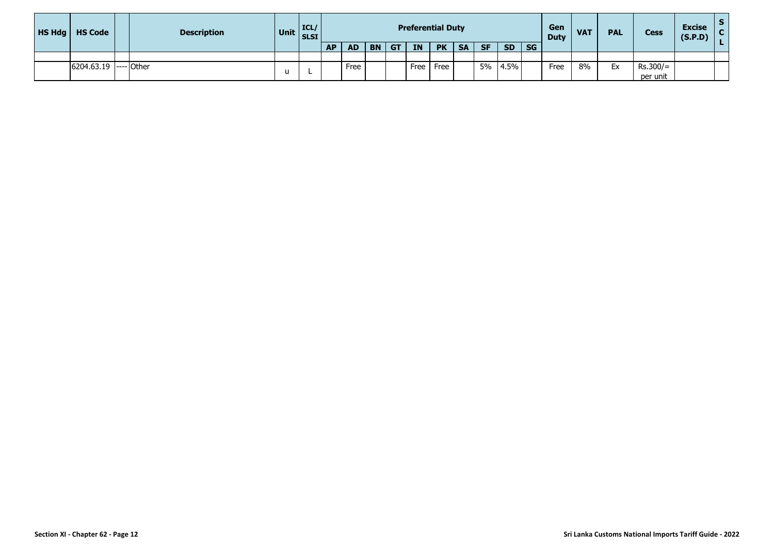| HSHdg | <b>HS Code</b> | <b>Description</b> | Unit ICL/ | <b>SLSI</b> |           |           |           |           |           | <b>Preferential Duty</b> |           |           |           |           | Gen<br><b>Duty</b> | <b>VAT</b> | <b>PAL</b> | <b>Cess</b> | <b>Excise</b><br>(S.P.D) |  |
|-------|----------------|--------------------|-----------|-------------|-----------|-----------|-----------|-----------|-----------|--------------------------|-----------|-----------|-----------|-----------|--------------------|------------|------------|-------------|--------------------------|--|
|       |                |                    |           |             | <b>AP</b> | <b>AD</b> | <b>BN</b> | <b>GT</b> | <b>IN</b> | <b>PK</b>                | <b>SA</b> | <b>SF</b> | <b>SD</b> | <b>SG</b> |                    |            |            |             |                          |  |
|       |                |                    |           |             |           |           |           |           |           |                          |           |           |           |           |                    |            |            |             |                          |  |
|       | 6204.63.19     | $ --- $ Other      |           |             |           | Free      |           |           | Free      | Free                     |           | 5%        | 4.5%      |           | Free               | 8%         | Ex         | $Rs.300/=$  |                          |  |
|       |                |                    | u         |             |           |           |           |           |           |                          |           |           |           |           |                    |            |            | per unit    |                          |  |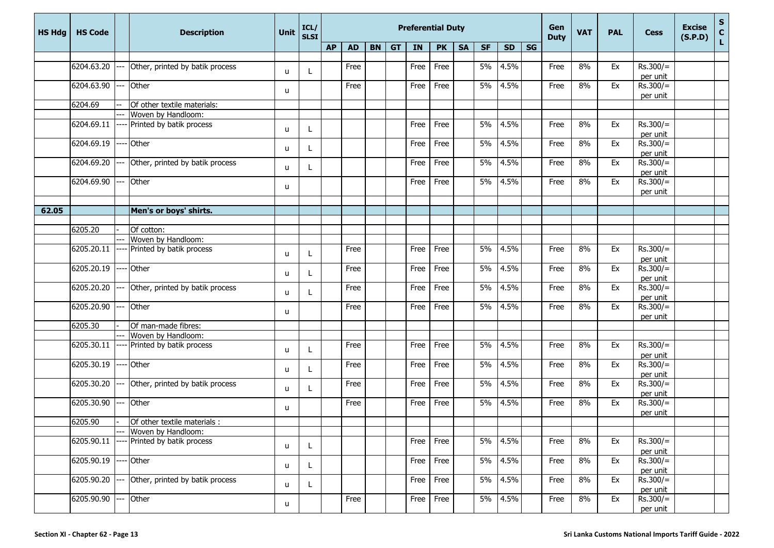| <b>HS Hdg</b> | <b>HS Code</b> |      | <b>Description</b>                                 | Unit         | ICL/<br><b>SLSI</b> |           | <b>Preferential Duty</b> |  |         |      |           |           |           |           |    |             | <b>VAT</b> | <b>PAL</b> | <b>Cess</b>            | <b>Excise</b><br>(S.P.D) | ${\sf s}$<br>$\mathbf c$ |
|---------------|----------------|------|----------------------------------------------------|--------------|---------------------|-----------|--------------------------|--|---------|------|-----------|-----------|-----------|-----------|----|-------------|------------|------------|------------------------|--------------------------|--------------------------|
|               |                |      |                                                    |              |                     | <b>AP</b> | <b>AD</b>                |  | $BN$ GT | IN   | <b>PK</b> | <b>SA</b> | <b>SF</b> | <b>SD</b> | SG | <b>Duty</b> |            |            |                        |                          | L.                       |
|               |                |      |                                                    |              |                     |           |                          |  |         |      |           |           |           |           |    |             |            |            |                        |                          |                          |
|               | 6204.63.20     |      | Other, printed by batik process                    | u            |                     |           | Free                     |  |         | Free | Free      |           | 5%        | 4.5%      |    | Free        | 8%         | Ex         | $Rs.300/=$             |                          |                          |
|               | 6204.63.90     |      | Other                                              |              |                     |           | Free                     |  |         | Free | Free      |           | 5%        | 4.5%      |    | Free        | 8%         | Ex         | per unit<br>$Rs.300/=$ |                          |                          |
|               |                |      |                                                    | u            |                     |           |                          |  |         |      |           |           |           |           |    |             |            |            | per unit               |                          |                          |
|               | 6204.69        |      | Of other textile materials:                        |              |                     |           |                          |  |         |      |           |           |           |           |    |             |            |            |                        |                          |                          |
|               |                |      | Woven by Handloom:                                 |              |                     |           |                          |  |         |      |           |           |           |           |    |             |            |            |                        |                          |                          |
|               | 6204.69.11     |      | Printed by batik process                           | u            |                     |           |                          |  |         | Free | Free      |           | 5%        | 4.5%      |    | Free        | 8%         | Ex         | $Rs.300/=$<br>per unit |                          |                          |
|               | 6204.69.19     |      | Other                                              |              |                     |           |                          |  |         | Free | Free      |           | 5%        | 4.5%      |    | Free        | 8%         | Ex         | $Rs.300/=$             |                          |                          |
|               |                |      |                                                    | u            |                     |           |                          |  |         |      |           |           |           |           |    |             |            |            | per unit               |                          |                          |
|               | 6204.69.20     |      | Other, printed by batik process                    | u            |                     |           |                          |  |         | Free | Free      |           | 5%        | 4.5%      |    | Free        | 8%         | Ex         | $Rs.300/=$             |                          |                          |
|               |                |      |                                                    |              |                     |           |                          |  |         |      |           |           |           |           |    |             |            |            | per unit               |                          |                          |
|               | 6204.69.90     |      | Other                                              | u            |                     |           |                          |  |         | Free | Free      |           | 5%        | 4.5%      |    | Free        | 8%         | Ex         | $Rs.300/=$             |                          |                          |
|               |                |      |                                                    |              |                     |           |                          |  |         |      |           |           |           |           |    |             |            |            | per unit               |                          |                          |
| 62.05         |                |      | Men's or boys' shirts.                             |              |                     |           |                          |  |         |      |           |           |           |           |    |             |            |            |                        |                          |                          |
|               |                |      |                                                    |              |                     |           |                          |  |         |      |           |           |           |           |    |             |            |            |                        |                          |                          |
|               | 6205.20        |      | Of cotton:                                         |              |                     |           |                          |  |         |      |           |           |           |           |    |             |            |            |                        |                          |                          |
|               |                |      | Woven by Handloom:                                 |              |                     |           |                          |  |         |      |           |           |           |           |    |             |            |            |                        |                          |                          |
|               | 6205.20.11     |      | Printed by batik process                           | u            |                     |           | Free                     |  |         | Free | Free      |           | 5%        | 4.5%      |    | Free        | 8%         | Ex         | $Rs.300/=$<br>per unit |                          |                          |
|               | 6205.20.19     |      | Other                                              |              |                     |           | Free                     |  |         | Free | Free      |           | 5%        | 4.5%      |    | Free        | 8%         | Ex         | $Rs.300/=$             |                          |                          |
|               |                |      |                                                    | u            |                     |           |                          |  |         |      |           |           |           |           |    |             |            |            | per unit               |                          |                          |
|               | 6205.20.20     | ---  | Other, printed by batik process                    | u            |                     |           | Free                     |  |         | Free | Free      |           | 5%        | 4.5%      |    | Free        | 8%         | Ex         | $Rs.300/=$             |                          |                          |
|               |                |      |                                                    |              |                     |           |                          |  |         |      |           |           |           |           |    |             |            |            | per unit               |                          |                          |
|               | 6205.20.90     | ---  | Other                                              | u            |                     |           | Free                     |  |         | Free | Free      |           | 5%        | 4.5%      |    | Free        | 8%         | Ex         | $Rs.300/=$             |                          |                          |
|               | 6205.30        |      |                                                    |              |                     |           |                          |  |         |      |           |           |           |           |    |             |            |            | per unit               |                          |                          |
|               |                |      | Of man-made fibres:<br>Woven by Handloom:          |              |                     |           |                          |  |         |      |           |           |           |           |    |             |            |            |                        |                          |                          |
|               | 6205.30.11     |      | Printed by batik process                           |              |                     |           | Free                     |  |         | Free | Free      |           | 5%        | 4.5%      |    | Free        | 8%         | Ex         | $Rs.300/=$             |                          |                          |
|               |                |      |                                                    | u            |                     |           |                          |  |         |      |           |           |           |           |    |             |            |            | per unit               |                          |                          |
|               | 6205.30.19     |      | Other                                              |              |                     |           | Free                     |  |         | Free | Free      |           | 5%        | 4.5%      |    | Free        | 8%         | Ex         | $Rs.300/=$             |                          |                          |
|               |                |      |                                                    | u            |                     |           |                          |  |         |      |           |           |           |           |    |             |            |            | per unit               |                          |                          |
|               | 6205.30.20     | --   | Other, printed by batik process                    | u            |                     |           | Free                     |  |         | Free | Free      |           | 5%        | 4.5%      |    | Free        | 8%         | Ex         | $Rs.300/=$             |                          |                          |
|               |                |      |                                                    |              |                     |           |                          |  |         |      |           |           |           |           |    |             |            |            | per unit               |                          |                          |
|               | 6205.30.90     | $-$  | Other                                              | u            |                     |           | Free                     |  |         | Free | Free      |           | 5%        | 4.5%      |    | Free        | 8%         | Ex         | $Rs.300/=$             |                          |                          |
|               |                |      |                                                    |              |                     |           |                          |  |         |      |           |           |           |           |    |             |            |            | per unit               |                          |                          |
|               | 6205.90        |      | Of other textile materials :<br>Woven by Handloom: |              |                     |           |                          |  |         |      |           |           |           |           |    |             |            |            |                        |                          |                          |
|               | 6205.90.11     |      | Printed by batik process                           |              |                     |           |                          |  |         | Free | Free      |           | 5%        | 4.5%      |    | Free        | 8%         | Ex         | $Rs.300/=$             |                          |                          |
|               |                |      |                                                    | u            |                     |           |                          |  |         |      |           |           |           |           |    |             |            |            | per unit               |                          |                          |
|               | 6205.90.19     |      | Other                                              |              |                     |           |                          |  |         | Free | Free      |           | 5%        | 4.5%      |    | Free        | 8%         | Ex         | $Rs.300/=$             |                          |                          |
|               |                |      |                                                    | u            |                     |           |                          |  |         |      |           |           |           |           |    |             |            |            | per unit               |                          |                          |
|               | 6205.90.20     |      | Other, printed by batik process                    | $\mathsf{u}$ | L                   |           |                          |  |         | Free | Free      |           | 5%        | 4.5%      |    | Free        | 8%         | Ex         | $Rs.300/=$             |                          |                          |
|               |                |      |                                                    |              |                     |           |                          |  |         |      |           |           |           |           |    |             |            |            | per unit               |                          |                          |
|               | 6205.90.90     | $--$ | Other                                              | u            |                     |           | Free                     |  |         | Free | Free      |           | 5%        | 4.5%      |    | Free        | 8%         | Ex         | $Rs.300/=$             |                          |                          |
|               |                |      |                                                    |              |                     |           |                          |  |         |      |           |           |           |           |    |             |            |            | per unit               |                          |                          |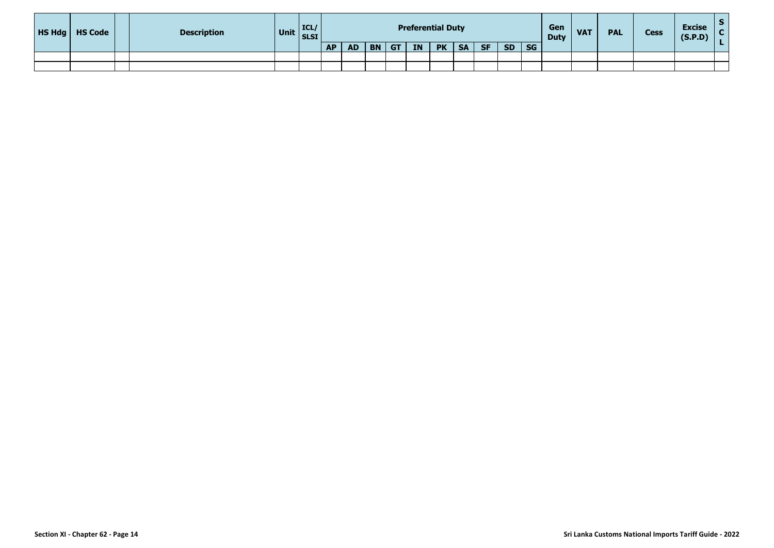| <b>HS Hdg</b>   HS Code | <b>Description</b> | Unit $\Big \text{ICL}/\text{SLSI}\Big $ |           |           |           |           | <b>Preferential Duty</b> |           |           |           |           |           | Gen<br><b>Duty</b> | <b>VAT</b> | <b>PAL</b> | <b>Cess</b> | <b>Excise</b><br>(S.P.D) |  |
|-------------------------|--------------------|-----------------------------------------|-----------|-----------|-----------|-----------|--------------------------|-----------|-----------|-----------|-----------|-----------|--------------------|------------|------------|-------------|--------------------------|--|
|                         |                    |                                         | <b>AP</b> | <b>AD</b> | <b>BN</b> | <b>GT</b> | <b>IN</b>                | <b>PK</b> | <b>SA</b> | <b>SF</b> | <b>SD</b> | <b>SG</b> |                    |            |            |             |                          |  |
|                         |                    |                                         |           |           |           |           |                          |           |           |           |           |           |                    |            |            |             |                          |  |
|                         |                    |                                         |           |           |           |           |                          |           |           |           |           |           |                    |            |            |             |                          |  |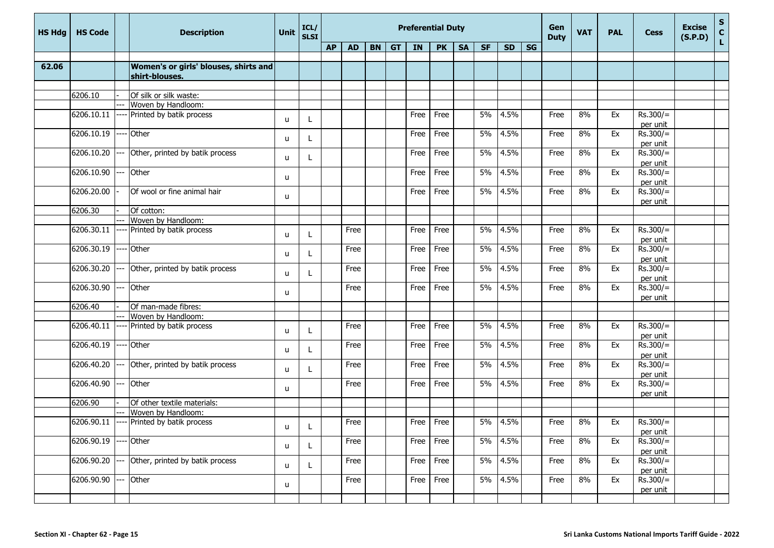| <b>HS Hdg</b> | <b>HS Code</b> |      | <b>Description</b>                                      | Unit | ICL/<br><b>SLSI</b> |           |           |    |           | <b>Preferential Duty</b> |           |           |           | Gen<br><b>Duty</b> | <b>VAT</b> | <b>PAL</b> | Cess | <b>Excise</b><br>(S.P.D) | $\frac{{\sf s}}{{\sf c}}$ |  |    |
|---------------|----------------|------|---------------------------------------------------------|------|---------------------|-----------|-----------|----|-----------|--------------------------|-----------|-----------|-----------|--------------------|------------|------------|------|--------------------------|---------------------------|--|----|
|               |                |      |                                                         |      |                     | <b>AP</b> | <b>AD</b> | BN | <b>GT</b> | IN                       | <b>PK</b> | <b>SA</b> | <b>SF</b> | <b>SD</b>          | <b>SG</b>  |            |      |                          |                           |  | Ĺ. |
|               |                |      |                                                         |      |                     |           |           |    |           |                          |           |           |           |                    |            |            |      |                          |                           |  |    |
| 62.06         |                |      | Women's or girls' blouses, shirts and<br>shirt-blouses. |      |                     |           |           |    |           |                          |           |           |           |                    |            |            |      |                          |                           |  |    |
|               |                |      |                                                         |      |                     |           |           |    |           |                          |           |           |           |                    |            |            |      |                          |                           |  |    |
|               | 6206.10        |      | Of silk or silk waste:                                  |      |                     |           |           |    |           |                          |           |           |           |                    |            |            |      |                          |                           |  |    |
|               |                |      | Woven by Handloom:                                      |      |                     |           |           |    |           |                          |           |           |           |                    |            |            |      |                          |                           |  |    |
|               | 6206.10.11     |      | Printed by batik process                                | u    |                     |           |           |    |           | Free                     | Free      |           | 5%        | 4.5%               |            | Free       | 8%   | Ex                       | $Rs.300/=$<br>per unit    |  |    |
|               | 6206.10.19     | ---- | Other                                                   | u    |                     |           |           |    |           | Free                     | Free      |           | 5%        | 4.5%               |            | Free       | 8%   | Ex                       | $Rs.300/=$<br>per unit    |  |    |
|               | 6206.10.20     |      | Other, printed by batik process                         | u    |                     |           |           |    |           | Free                     | Free      |           | 5%        | 4.5%               |            | Free       | 8%   | Ex                       | $Rs.300/=$<br>per unit    |  |    |
|               | 6206.10.90     |      | Other                                                   | u    |                     |           |           |    |           | Free                     | Free      |           | 5%        | 4.5%               |            | Free       | 8%   | Ex                       | $Rs.300/=$<br>per unit    |  |    |
|               | 6206.20.00     |      | Of wool or fine animal hair                             | u    |                     |           |           |    |           | Free                     | Free      |           | 5%        | 4.5%               |            | Free       | 8%   | Ex                       | $Rs.300/=$<br>per unit    |  |    |
|               | 6206.30        |      | Of cotton:                                              |      |                     |           |           |    |           |                          |           |           |           |                    |            |            |      |                          |                           |  |    |
|               |                |      | Woven by Handloom:                                      |      |                     |           |           |    |           |                          |           |           |           |                    |            |            |      |                          |                           |  |    |
|               | 6206.30.11     | ---- | Printed by batik process                                | u    |                     |           | Free      |    |           | Free                     | Free      |           | 5%        | 4.5%               |            | Free       | 8%   | Ex                       | $Rs.300/=$<br>per unit    |  |    |
|               | 6206.30.19     |      | Other                                                   | u    |                     |           | Free      |    |           | Free                     | Free      |           | 5%        | 4.5%               |            | Free       | 8%   | Ex                       | $Rs.300/=$                |  |    |
|               | 6206.30.20     | ---  | Other, printed by batik process                         | u    |                     |           | Free      |    |           | Free                     | Free      |           | 5%        | 4.5%               |            | Free       | 8%   | Ex                       | per unit<br>$Rs.300/=$    |  |    |
|               | 6206.30.90     |      | Other                                                   | u    |                     |           | Free      |    |           | Free                     | Free      |           | 5%        | 4.5%               |            | Free       | 8%   | Ex                       | per unit<br>$Rs.300/=$    |  |    |
|               |                |      |                                                         |      |                     |           |           |    |           |                          |           |           |           |                    |            |            |      |                          | per unit                  |  |    |
|               | 6206.40        |      | Of man-made fibres:<br>Woven by Handloom:               |      |                     |           |           |    |           |                          |           |           |           |                    |            |            |      |                          |                           |  |    |
|               | 6206.40.11     |      | Printed by batik process                                | u    |                     |           | Free      |    |           | Free                     | Free      |           | 5%        | 4.5%               |            | Free       | 8%   | Ex                       | $Rs.300/=$                |  |    |
|               | 6206.40.19     |      | Other                                                   | u    |                     |           | Free      |    |           | Free                     | Free      |           | 5%        | 4.5%               |            | Free       | 8%   | Ex                       | per unit<br>$Rs.300/=$    |  |    |
|               |                |      |                                                         |      |                     |           |           |    |           |                          |           |           |           |                    |            |            |      |                          | per unit                  |  |    |
|               | 6206.40.20     |      | Other, printed by batik process                         | u    |                     |           | Free      |    |           | Free                     | Free      |           | 5%        | 4.5%               |            | Free       | 8%   | Ex                       | $Rs.300/=$<br>per unit    |  |    |
|               | 6206.40.90     |      | Other                                                   | u    |                     |           | Free      |    |           | Free                     | Free      |           | 5%        | 4.5%               |            | Free       | 8%   | Ex                       | $Rs.300/=$<br>per unit    |  |    |
|               | 6206.90        |      | Of other textile materials:                             |      |                     |           |           |    |           |                          |           |           |           |                    |            |            |      |                          |                           |  |    |
|               |                |      | Woven by Handloom:                                      |      |                     |           |           |    |           |                          |           |           |           |                    |            |            |      |                          |                           |  |    |
|               | 6206.90.11     |      | ---- Printed by batik process                           | u    |                     |           | Free      |    |           | Free                     | Free      |           | 5%        | 4.5%               |            | Free       | 8%   | Ex                       | $Rs.300/=$<br>per unit    |  |    |
|               | 6206.90.19     |      | Other                                                   | u    |                     |           | Free      |    |           | Free                     | Free      |           | 5%        | 4.5%               |            | Free       | 8%   | Ex                       | $Rs.300/=$<br>per unit    |  |    |
|               | 6206.90.20     |      | Other, printed by batik process                         | u.   |                     |           | Free      |    |           | Free                     | Free      |           | 5%        | 4.5%               |            | Free       | 8%   | Ex                       | $Rs.300/=$<br>per unit    |  |    |
|               | 6206.90.90     |      | Other                                                   | u    |                     |           | Free      |    |           | Free                     | Free      |           |           | 5% 4.5%            |            | Free       | 8%   | Ex                       | $Rs.300/=$                |  |    |
|               |                |      |                                                         |      |                     |           |           |    |           |                          |           |           |           |                    |            |            |      |                          | per unit                  |  |    |
|               |                |      |                                                         |      |                     |           |           |    |           |                          |           |           |           |                    |            |            |      |                          |                           |  |    |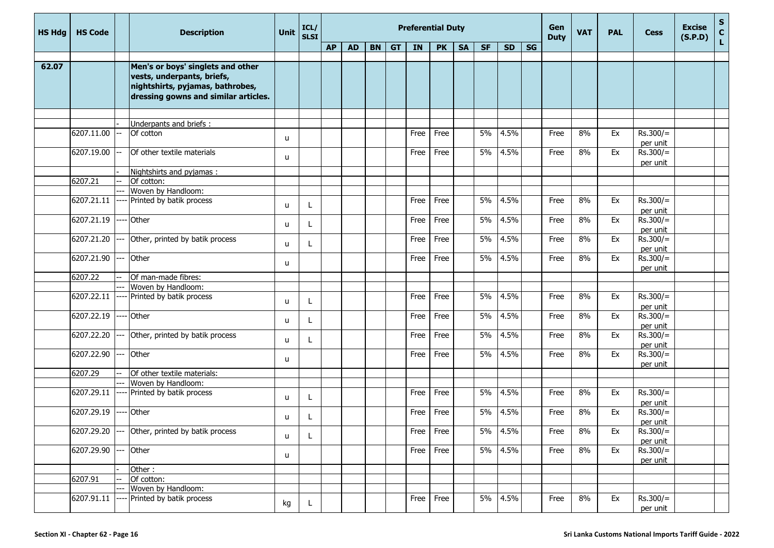| <b>HS Hdg</b> | <b>HS Code</b> |      | <b>Description</b>                                                                                                                          | <b>Unit</b>  | ICL/<br><b>SLSI</b> |           |           |    |           | <b>Preferential Duty</b> |           |           |           |           | Gen<br><b>Duty</b> | <b>VAT</b> | <b>PAL</b> | <b>Cess</b> | <b>Excise</b><br>(S.P.D) | ${\sf s}$<br>$\mathbf c$ |    |
|---------------|----------------|------|---------------------------------------------------------------------------------------------------------------------------------------------|--------------|---------------------|-----------|-----------|----|-----------|--------------------------|-----------|-----------|-----------|-----------|--------------------|------------|------------|-------------|--------------------------|--------------------------|----|
|               |                |      |                                                                                                                                             |              |                     | <b>AP</b> | <b>AD</b> | BN | <b>GT</b> | IN                       | <b>PK</b> | <b>SA</b> | <b>SF</b> | <b>SD</b> | <b>SG</b>          |            |            |             |                          |                          | Ĺ. |
|               |                |      |                                                                                                                                             |              |                     |           |           |    |           |                          |           |           |           |           |                    |            |            |             |                          |                          |    |
| 62.07         |                |      | Men's or boys' singlets and other<br>vests, underpants, briefs,<br>nightshirts, pyjamas, bathrobes,<br>dressing gowns and similar articles. |              |                     |           |           |    |           |                          |           |           |           |           |                    |            |            |             |                          |                          |    |
|               |                |      |                                                                                                                                             |              |                     |           |           |    |           |                          |           |           |           |           |                    |            |            |             |                          |                          |    |
|               | 6207.11.00     |      | Underpants and briefs:<br>Of cotton                                                                                                         | u            |                     |           |           |    |           | Free                     | Free      |           | 5%        | 4.5%      |                    | Free       | 8%         | Ex          | $Rs.300/=$<br>per unit   |                          |    |
|               | 6207.19.00     | --   | Of other textile materials                                                                                                                  | u            |                     |           |           |    |           | Free                     | Free      |           | 5%        | 4.5%      |                    | Free       | 8%         | Ex          | $Rs.300/=$<br>per unit   |                          |    |
|               |                |      | Nightshirts and pyjamas:                                                                                                                    |              |                     |           |           |    |           |                          |           |           |           |           |                    |            |            |             |                          |                          |    |
|               | 6207.21        |      | Of cotton:                                                                                                                                  |              |                     |           |           |    |           |                          |           |           |           |           |                    |            |            |             |                          |                          |    |
|               |                |      | Woven by Handloom:                                                                                                                          |              |                     |           |           |    |           |                          |           |           |           |           |                    |            |            |             |                          |                          |    |
|               | 6207.21.11     |      | Printed by batik process                                                                                                                    | u            | $\mathbf{I}$        |           |           |    |           | Free                     | Free      |           | 5%        | 4.5%      |                    | Free       | 8%         | Ex          | $Rs.300/=$<br>per unit   |                          |    |
|               | 6207.21.19     |      | Other                                                                                                                                       | u            | L                   |           |           |    |           | Free                     | Free      |           | 5%        | 4.5%      |                    | Free       | 8%         | Ex          | $Rs.300/=$<br>per unit   |                          |    |
|               | 6207.21.20 --- |      | Other, printed by batik process                                                                                                             | u            | L                   |           |           |    |           | Free                     | Free      |           | 5%        | 4.5%      |                    | Free       | 8%         | Ex          | $Rs.300/=$<br>per unit   |                          |    |
|               | 6207.21.90 --- |      | Other                                                                                                                                       | u            |                     |           |           |    |           | Free                     | Free      |           | 5%        | 4.5%      |                    | Free       | 8%         | Ex          | $Rs.300/=$<br>per unit   |                          |    |
|               | 6207.22        |      | Of man-made fibres:                                                                                                                         |              |                     |           |           |    |           |                          |           |           |           |           |                    |            |            |             |                          |                          |    |
|               |                |      | Woven by Handloom:                                                                                                                          |              |                     |           |           |    |           |                          |           |           |           |           |                    |            |            |             |                          |                          |    |
|               | 6207.22.11     | ---- | Printed by batik process                                                                                                                    | u            | L                   |           |           |    |           | Free                     | Free      |           | 5%        | 4.5%      |                    | Free       | 8%         | Ex          | $Rs.300/=$<br>per unit   |                          |    |
|               | 6207.22.19     | ---- | Other                                                                                                                                       | u            |                     |           |           |    |           | Free                     | Free      |           | 5%        | 4.5%      |                    | Free       | 8%         | Ex          | $Rs.300/=$<br>per unit   |                          |    |
|               | 6207.22.20     | ---  | Other, printed by batik process                                                                                                             | u            |                     |           |           |    |           | Free                     | Free      |           | 5%        | 4.5%      |                    | Free       | 8%         | Ex          | $Rs.300/=$<br>per unit   |                          |    |
|               | 6207.22.90     |      | Other                                                                                                                                       | u            |                     |           |           |    |           | Free                     | Free      |           | 5%        | 4.5%      |                    | Free       | 8%         | Ex          | $Rs.300/=$<br>per unit   |                          |    |
|               | 6207.29        |      | Of other textile materials:                                                                                                                 |              |                     |           |           |    |           |                          |           |           |           |           |                    |            |            |             |                          |                          |    |
|               |                |      | Woven by Handloom:                                                                                                                          |              |                     |           |           |    |           |                          |           |           |           |           |                    |            |            |             |                          |                          |    |
|               | 6207.29.11     |      | Printed by batik process                                                                                                                    | u            |                     |           |           |    |           | Free                     | Free      |           | 5%        | 4.5%      |                    | Free       | 8%         | Ex          | $Rs.300/=$<br>per unit   |                          |    |
|               | 6207.29.19     |      | Other                                                                                                                                       | u            |                     |           |           |    |           | Free                     | Free      |           | 5%        | 4.5%      |                    | Free       | 8%         | Ex          | $Rs.300/=$<br>per unit   |                          |    |
|               |                |      | $6207.29.20$ --- Other, printed by batik process                                                                                            | $\mathsf{u}$ | L                   |           |           |    |           |                          | Free Free |           |           | 5% 4.5%   |                    | Free       | 8%         | Ex          | $Rs.300/=$<br>per unit   |                          |    |
|               | 6207.29.90 --- |      | Other                                                                                                                                       | u            |                     |           |           |    |           | Free                     | Free      |           |           | 5% 4.5%   |                    | Free       | 8%         | Ex          | $Rs.300/=$<br>per unit   |                          |    |
|               |                |      | Other:                                                                                                                                      |              |                     |           |           |    |           |                          |           |           |           |           |                    |            |            |             |                          |                          |    |
|               | 6207.91        |      | Of cotton:                                                                                                                                  |              |                     |           |           |    |           |                          |           |           |           |           |                    |            |            |             |                          |                          |    |
|               |                |      | Woven by Handloom:                                                                                                                          |              |                     |           |           |    |           |                          |           |           |           |           |                    |            |            |             |                          |                          |    |
|               | 6207.91.11     |      | Printed by batik process                                                                                                                    | kg           | L                   |           |           |    |           | Free                     | Free      |           |           | 5% 4.5%   |                    | Free       | 8%         | Ex          | $Rs.300/=$<br>per unit   |                          |    |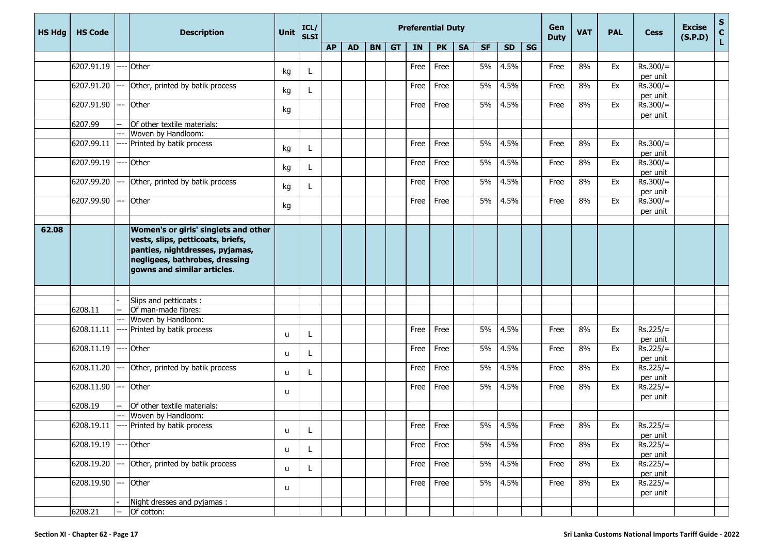| <b>HS Hdg</b> | <b>HS Code</b> |                       | <b>Description</b>                                                                                                                                                            | <b>Unit</b>  | ICL/<br><b>SLSI</b> |           |           |           |           |           | <b>Preferential Duty</b> |           |           |           | Gen<br><b>Duty</b> | <b>VAT</b> | <b>PAL</b> | <b>Cess</b> | <b>Excise</b><br>(S.P.D) | S<br>C<br>L |  |
|---------------|----------------|-----------------------|-------------------------------------------------------------------------------------------------------------------------------------------------------------------------------|--------------|---------------------|-----------|-----------|-----------|-----------|-----------|--------------------------|-----------|-----------|-----------|--------------------|------------|------------|-------------|--------------------------|-------------|--|
|               |                |                       |                                                                                                                                                                               |              |                     | <b>AP</b> | <b>AD</b> | <b>BN</b> | <b>GT</b> | <b>IN</b> | <b>PK</b>                | <b>SA</b> | <b>SF</b> | <b>SD</b> | SG                 |            |            |             |                          |             |  |
|               | 6207.91.19     |                       | Other                                                                                                                                                                         |              |                     |           |           |           |           | Free      |                          |           | 5%        | 4.5%      |                    |            | 8%         | Ex          | $Rs.300/=$               |             |  |
|               |                |                       |                                                                                                                                                                               | kg           | L                   |           |           |           |           |           | Free                     |           |           |           |                    | Free       |            |             | per unit                 |             |  |
|               | 6207.91.20     |                       | Other, printed by batik process                                                                                                                                               |              |                     |           |           |           |           | Free      | Free                     |           | 5%        | 4.5%      |                    | Free       | 8%         | Ex          | $Rs.300/=$               |             |  |
|               |                |                       |                                                                                                                                                                               | kg           |                     |           |           |           |           |           |                          |           |           |           |                    |            |            |             | per unit                 |             |  |
|               | 6207.91.90     |                       | Other                                                                                                                                                                         |              |                     |           |           |           |           | Free      | Free                     |           | 5%        | 4.5%      |                    | Free       | 8%         | Ex          | $Rs.300/=$               |             |  |
|               |                |                       |                                                                                                                                                                               | kg           |                     |           |           |           |           |           |                          |           |           |           |                    |            |            |             | per unit                 |             |  |
|               | 6207.99        |                       | Of other textile materials:                                                                                                                                                   |              |                     |           |           |           |           |           |                          |           |           |           |                    |            |            |             |                          |             |  |
|               |                |                       | Woven by Handloom:                                                                                                                                                            |              |                     |           |           |           |           |           |                          |           |           |           |                    |            |            |             |                          |             |  |
|               | 6207.99.11     |                       | Printed by batik process                                                                                                                                                      | kg           | L                   |           |           |           |           | Free      | Free                     |           | 5%        | 4.5%      |                    | Free       | 8%         | Ex          | $Rs.300/=$               |             |  |
|               |                |                       |                                                                                                                                                                               |              |                     |           |           |           |           |           |                          |           |           |           |                    |            |            |             | per unit                 |             |  |
|               | 6207.99.19     |                       | Other                                                                                                                                                                         | kg           |                     |           |           |           |           | Free      | Free                     |           | 5%        | 4.5%      |                    | Free       | 8%         | Ex          | $Rs.300/=$               |             |  |
|               |                |                       |                                                                                                                                                                               |              |                     |           |           |           |           |           |                          |           |           |           |                    |            |            |             | per unit                 |             |  |
|               | 6207.99.20     | --                    | Other, printed by batik process                                                                                                                                               | kg           |                     |           |           |           |           | Free      | Free                     |           | 5%        | 4.5%      |                    | Free       | 8%         | Ex          | $Rs.300/=$               |             |  |
|               | 6207.99.90     |                       | Other                                                                                                                                                                         |              |                     |           |           |           |           |           |                          |           | 5%        | 4.5%      |                    |            |            |             | per unit                 |             |  |
|               |                |                       |                                                                                                                                                                               | kg           |                     |           |           |           |           | Free      | Free                     |           |           |           |                    | Free       | 8%         | Ex          | $Rs.300/=$               |             |  |
|               |                |                       |                                                                                                                                                                               |              |                     |           |           |           |           |           |                          |           |           |           |                    |            |            |             | per unit                 |             |  |
| 62.08         |                |                       | Women's or girls' singlets and other<br>vests, slips, petticoats, briefs,<br>panties, nightdresses, pyjamas,<br>negligees, bathrobes, dressing<br>gowns and similar articles. |              |                     |           |           |           |           |           |                          |           |           |           |                    |            |            |             |                          |             |  |
|               |                |                       |                                                                                                                                                                               |              |                     |           |           |           |           |           |                          |           |           |           |                    |            |            |             |                          |             |  |
|               |                |                       | Slips and petticoats:                                                                                                                                                         |              |                     |           |           |           |           |           |                          |           |           |           |                    |            |            |             |                          |             |  |
|               | 6208.11        |                       | Of man-made fibres:                                                                                                                                                           |              |                     |           |           |           |           |           |                          |           |           |           |                    |            |            |             |                          |             |  |
|               |                |                       | Woven by Handloom:                                                                                                                                                            |              |                     |           |           |           |           |           |                          |           |           |           |                    |            |            |             |                          |             |  |
|               | 6208.11.11     |                       | Printed by batik process                                                                                                                                                      | u            | L                   |           |           |           |           | Free      | Free                     |           | 5%        | 4.5%      |                    | Free       | 8%         | Ex          | $Rs.225/=$               |             |  |
|               |                |                       |                                                                                                                                                                               |              |                     |           |           |           |           |           |                          |           |           |           |                    |            |            |             | per unit                 |             |  |
|               | 6208.11.19     |                       | Other                                                                                                                                                                         | u            | L                   |           |           |           |           | Free      | Free                     |           | 5%        | 4.5%      |                    | Free       | 8%         | Ex          | $Rs.225/=$               |             |  |
|               |                |                       |                                                                                                                                                                               |              |                     |           |           |           |           |           |                          |           |           |           |                    |            |            |             | per unit                 |             |  |
|               | 6208.11.20     |                       | Other, printed by batik process                                                                                                                                               | u            | L                   |           |           |           |           | Free      | Free                     |           | 5%        | 4.5%      |                    | Free       | 8%         | Ex          | $Rs.225/=$               |             |  |
|               |                |                       |                                                                                                                                                                               |              |                     |           |           |           |           |           |                          |           |           |           |                    |            |            |             | per unit                 |             |  |
|               | 6208.11.90     | $---$                 | Other                                                                                                                                                                         | u            |                     |           |           |           |           | Free      | Free                     |           | 5%        | 4.5%      |                    | Free       | 8%         | Ex          | $Rs.225/=$               |             |  |
|               |                |                       |                                                                                                                                                                               |              |                     |           |           |           |           |           |                          |           |           |           |                    |            |            |             | per unit                 |             |  |
|               | 6208.19        |                       | Of other textile materials:<br>Woven by Handloom:                                                                                                                             |              |                     |           |           |           |           |           |                          |           |           |           |                    |            |            |             |                          |             |  |
|               | 6208.19.11     |                       | ---- Printed by batik process                                                                                                                                                 |              |                     |           |           |           |           |           | Free Free                |           | 5%        | 4.5%      |                    | Free       | $8\%$      | Ex          | $Rs.225/=$               |             |  |
|               |                |                       |                                                                                                                                                                               | u            | L.                  |           |           |           |           |           |                          |           |           |           |                    |            |            |             | per unit                 |             |  |
|               | 6208.19.19     |                       | Other                                                                                                                                                                         |              |                     |           |           |           |           |           | Free Free                |           |           | 5% 4.5%   |                    | Free       | 8%         | Ex          | $Rs.225/=$               |             |  |
|               |                |                       |                                                                                                                                                                               | u            | L.                  |           |           |           |           |           |                          |           |           |           |                    |            |            |             | per unit                 |             |  |
|               | 6208.19.20     | $\scriptstyle \cdots$ | Other, printed by batik process                                                                                                                                               |              |                     |           |           |           |           | Free      | Free                     |           |           | 5% 4.5%   |                    | Free       | 8%         | Ex          | $Rs.225/=$               |             |  |
|               |                |                       |                                                                                                                                                                               | $\mathsf{u}$ | L                   |           |           |           |           |           |                          |           |           |           |                    |            |            |             | per unit                 |             |  |
|               | 6208.19.90     | $\qquad \qquad - -$   | Other                                                                                                                                                                         |              |                     |           |           |           |           |           | Free Free                |           |           | 5% 4.5%   |                    | Free       | 8%         | Ex          | $Rs.225/=$               |             |  |
|               |                |                       |                                                                                                                                                                               | u            |                     |           |           |           |           |           |                          |           |           |           |                    |            |            |             | per unit                 |             |  |
|               |                |                       | Night dresses and pyjamas:                                                                                                                                                    |              |                     |           |           |           |           |           |                          |           |           |           |                    |            |            |             |                          |             |  |
|               | 6208.21        |                       | Of cotton:                                                                                                                                                                    |              |                     |           |           |           |           |           |                          |           |           |           |                    |            |            |             |                          |             |  |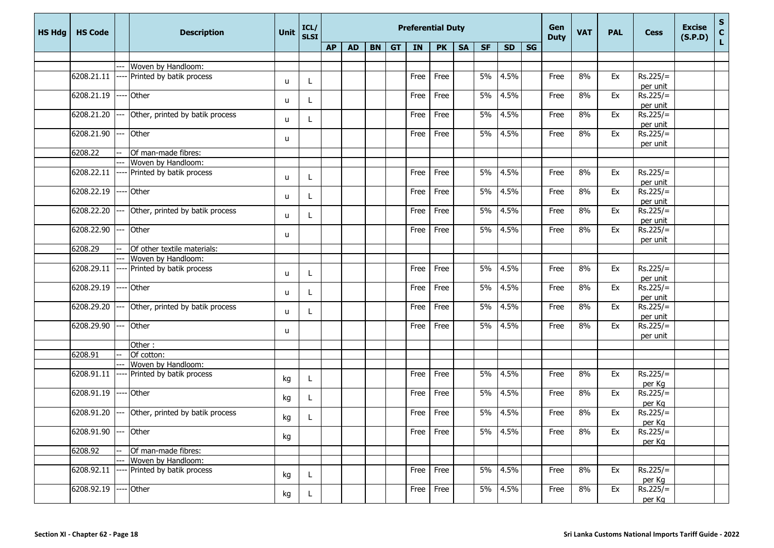| <b>HS Hdg</b> | <b>HS Code</b>   |     | <b>Description</b>              | Unit | ICL/<br><b>SLSI</b> |           | <b>Preferential Duty</b> |           |           |      |               |           |           |           |           |      | <b>VAT</b> | <b>PAL</b> | <b>Cess</b>            | <b>Excise</b><br>(S.P.D) | S<br>C<br>L |
|---------------|------------------|-----|---------------------------------|------|---------------------|-----------|--------------------------|-----------|-----------|------|---------------|-----------|-----------|-----------|-----------|------|------------|------------|------------------------|--------------------------|-------------|
|               |                  |     |                                 |      |                     | <b>AP</b> | <b>AD</b>                | <b>BN</b> | <b>GT</b> | IN   | <b>PK</b>     | <b>SA</b> | <b>SF</b> | <b>SD</b> | <b>SG</b> |      |            |            |                        |                          |             |
|               |                  |     |                                 |      |                     |           |                          |           |           |      |               |           |           |           |           |      |            |            |                        |                          |             |
|               |                  |     | Woven by Handloom:              |      |                     |           |                          |           |           |      |               |           |           |           |           |      |            |            |                        |                          |             |
|               | 6208.21.11       |     | Printed by batik process        | u    | L                   |           |                          |           |           | Free | Free          |           | 5%        | 4.5%      |           | Free | 8%         | Ex         | $Rs.225/=$             |                          |             |
|               |                  |     |                                 |      |                     |           |                          |           |           |      |               |           |           |           |           |      |            |            | per unit               |                          |             |
|               | 6208.21.19       |     | Other                           | u    |                     |           |                          |           |           | Free | Free          |           | 5%        | 4.5%      |           | Free | 8%         | Ex         | $Rs.225/=$             |                          |             |
|               |                  |     |                                 |      |                     |           |                          |           |           |      |               |           |           |           |           |      |            |            | per unit               |                          |             |
|               | 6208.21.20       |     | Other, printed by batik process | u    |                     |           |                          |           |           | Free | Free          |           | 5%        | 4.5%      |           | Free | 8%         | Ex         | $Rs.225/=$             |                          |             |
|               |                  |     |                                 |      |                     |           |                          |           |           |      |               |           |           |           |           |      |            |            | per unit               |                          |             |
|               | 6208.21.90       |     | Other                           | u    |                     |           |                          |           |           | Free | Free          |           | 5%        | 4.5%      |           | Free | 8%         | Ex         | $Rs.225/=$             |                          |             |
|               |                  |     |                                 |      |                     |           |                          |           |           |      |               |           |           |           |           |      |            |            | per unit               |                          |             |
|               | 6208.22          |     | Of man-made fibres:             |      |                     |           |                          |           |           |      |               |           |           |           |           |      |            |            |                        |                          |             |
|               | 6208.22.11       |     | Woven by Handloom:              |      |                     |           |                          |           |           |      |               |           | 5%        | 4.5%      |           |      | 8%         |            | $Rs.225/=$             |                          |             |
|               |                  |     | Printed by batik process        | u    |                     |           |                          |           |           | Free | Free          |           |           |           |           | Free |            | Ex         |                        |                          |             |
|               | 6208.22.19       |     | Other                           |      |                     |           |                          |           |           | Free | Free          |           | 5%        | 4.5%      |           | Free | 8%         | Ex         | per unit<br>$Rs.225/=$ |                          |             |
|               |                  |     |                                 | u    | L                   |           |                          |           |           |      |               |           |           |           |           |      |            |            | per unit               |                          |             |
|               | 6208.22.20       |     | Other, printed by batik process |      |                     |           |                          |           |           | Free | Free          |           | 5%        | 4.5%      |           | Free | 8%         | Ex         | $Rs.225/=$             |                          |             |
|               |                  |     |                                 | u    | L                   |           |                          |           |           |      |               |           |           |           |           |      |            |            | per unit               |                          |             |
|               | 6208.22.90       |     | Other                           |      |                     |           |                          |           |           | Free | Free          |           | 5%        | 4.5%      |           | Free | 8%         | Ex         | $Rs.225/=$             |                          |             |
|               |                  |     |                                 | u    |                     |           |                          |           |           |      |               |           |           |           |           |      |            |            | per unit               |                          |             |
|               | 6208.29          |     | Of other textile materials:     |      |                     |           |                          |           |           |      |               |           |           |           |           |      |            |            |                        |                          |             |
|               |                  |     | Woven by Handloom:              |      |                     |           |                          |           |           |      |               |           |           |           |           |      |            |            |                        |                          |             |
|               | 6208.29.11       |     | Printed by batik process        |      |                     |           |                          |           |           | Free | Free          |           | 5%        | 4.5%      |           | Free | 8%         | Ex         | $Rs.225/=$             |                          |             |
|               |                  |     |                                 | u    |                     |           |                          |           |           |      |               |           |           |           |           |      |            |            | per unit               |                          |             |
|               | 6208.29.19       |     | Other                           |      |                     |           |                          |           |           | Free | Free          |           | 5%        | 4.5%      |           | Free | 8%         | Ex         | $Rs.225/=$             |                          |             |
|               |                  |     |                                 | u    |                     |           |                          |           |           |      |               |           |           |           |           |      |            |            | per unit               |                          |             |
|               | 6208.29.20       |     | Other, printed by batik process |      |                     |           |                          |           |           | Free | Free          |           | 5%        | 4.5%      |           | Free | 8%         | Ex         | $Rs.225/=$             |                          |             |
|               |                  |     |                                 | u    |                     |           |                          |           |           |      |               |           |           |           |           |      |            |            | per unit               |                          |             |
|               | 6208.29.90       |     | Other                           |      |                     |           |                          |           |           | Free | Free          |           | 5%        | 4.5%      |           | Free | 8%         | Ex         | $Rs.225/=$             |                          |             |
|               |                  |     |                                 | u    |                     |           |                          |           |           |      |               |           |           |           |           |      |            |            | per unit               |                          |             |
|               |                  |     | Other:                          |      |                     |           |                          |           |           |      |               |           |           |           |           |      |            |            |                        |                          |             |
|               | 6208.91          |     | Of cotton:                      |      |                     |           |                          |           |           |      |               |           |           |           |           |      |            |            |                        |                          |             |
|               |                  |     | Woven by Handloom:              |      |                     |           |                          |           |           |      |               |           |           |           |           |      |            |            |                        |                          |             |
|               | 6208.91.11       |     | Printed by batik process        | kg   | L                   |           |                          |           |           | Free | Free          |           | 5%        | 4.5%      |           | Free | 8%         | Ex         | $Rs.225/=$             |                          |             |
|               |                  |     |                                 |      |                     |           |                          |           |           |      |               |           |           |           |           |      |            |            | per Kg                 |                          |             |
|               | 6208.91.19       |     | Other                           | kg   |                     |           |                          |           |           | Free | Free          |           | 5%        | 4.5%      |           | Free | 8%         | Ex         | $Rs.225/=$             |                          |             |
|               |                  |     |                                 |      |                     |           |                          |           |           |      |               |           |           |           |           |      |            |            | per Kg                 |                          |             |
|               | 6208.91.20       | --- | Other, printed by batik process | kg   | L                   |           |                          |           |           | Free | Free          |           | 5%        | 4.5%      |           | Free | 8%         | Ex         | $Rs.225/=$             |                          |             |
|               |                  |     |                                 |      |                     |           |                          |           |           |      |               |           |           |           |           |      |            |            | per Kg                 |                          |             |
|               | $6208.91.90$ --- |     | Other                           | kg   |                     |           |                          |           |           |      | $Free$   Free |           |           | 5% 4.5%   |           | Free | 8%         | Ex         | $Rs.225/=$             |                          |             |
|               |                  |     |                                 |      |                     |           |                          |           |           |      |               |           |           |           |           |      |            |            | per Kg                 |                          |             |
|               | 6208.92          |     | Of man-made fibres:             |      |                     |           |                          |           |           |      |               |           |           |           |           |      |            |            |                        |                          |             |
|               |                  |     | Woven by Handloom:              |      |                     |           |                          |           |           |      |               |           |           |           |           |      |            |            |                        |                          |             |
|               | 6208.92.11       |     | Printed by batik process        | kg   | L                   |           |                          |           |           | Free | Free          |           | 5%        | 4.5%      |           | Free | 8%         | Ex         | $Rs.225/=$             |                          |             |
|               | 6208.92.19       |     | Other                           |      |                     |           |                          |           |           | Free | Free          |           |           | 5% 4.5%   |           | Free | 8%         | Ex         | per Kg<br>$Rs.225/-$   |                          |             |
|               |                  |     |                                 | kg   | L                   |           |                          |           |           |      |               |           |           |           |           |      |            |            | per Kg                 |                          |             |
|               |                  |     |                                 |      |                     |           |                          |           |           |      |               |           |           |           |           |      |            |            |                        |                          |             |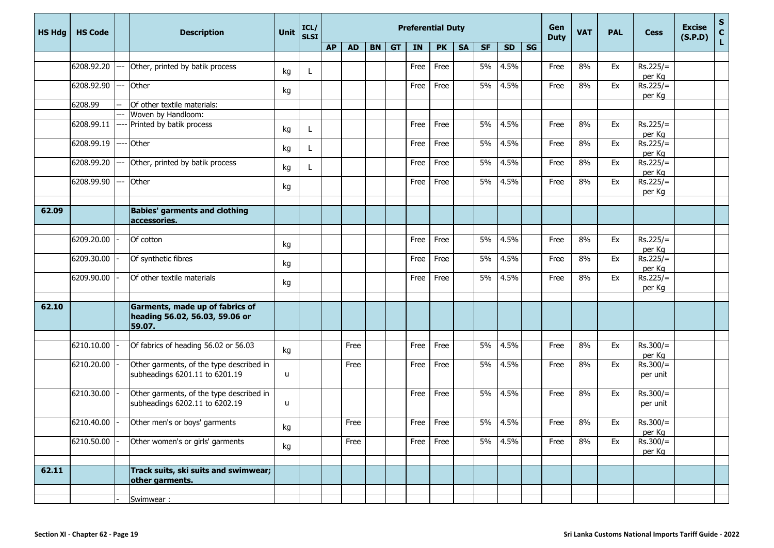| <b>HS Hdg</b> | <b>HS Code</b> |     | <b>Description</b>                                                          | Unit         | ICL/<br><b>SLSI</b> |           |           |           |           | <b>Preferential Duty</b> |           |           |           | Gen<br><b>Duty</b> | <b>VAT</b> | <b>PAL</b> | <b>Cess</b> | <b>Excise</b><br>(S.P.D) | $\frac{S}{C}$<br>L     |  |  |
|---------------|----------------|-----|-----------------------------------------------------------------------------|--------------|---------------------|-----------|-----------|-----------|-----------|--------------------------|-----------|-----------|-----------|--------------------|------------|------------|-------------|--------------------------|------------------------|--|--|
|               |                |     |                                                                             |              |                     | <b>AP</b> | <b>AD</b> | <b>BN</b> | <b>GT</b> | IN                       | <b>PK</b> | <b>SA</b> | <b>SF</b> | <b>SD</b>          | <b>SG</b>  |            |             |                          |                        |  |  |
|               | 6208.92.20     |     | Other, printed by batik process                                             | kg           | L                   |           |           |           |           | Free                     | Free      |           | 5%        | 4.5%               |            | Free       | 8%          | Ex                       | $Rs.225/=$<br>per Kg   |  |  |
|               | 6208.92.90     | --  | Other                                                                       | kg           |                     |           |           |           |           | Free                     | Free      |           | 5%        | 4.5%               |            | Free       | 8%          | Ex                       | $Rs.225/=$<br>per Kg   |  |  |
|               | 6208.99        |     | Of other textile materials:                                                 |              |                     |           |           |           |           |                          |           |           |           |                    |            |            |             |                          |                        |  |  |
|               |                |     | Woven by Handloom:                                                          |              |                     |           |           |           |           |                          |           |           |           |                    |            |            |             |                          |                        |  |  |
|               | 6208.99.11     |     | Printed by batik process                                                    | kg           |                     |           |           |           |           | Free                     | Free      |           | 5%        | 4.5%               |            | Free       | 8%          | Ex                       | $Rs.225/=$<br>per Kg   |  |  |
|               | 6208.99.19     | --- | Other                                                                       | kg           | L                   |           |           |           |           | Free                     | Free      |           | 5%        | 4.5%               |            | Free       | 8%          | Ex                       | $Rs.225/=$<br>per Kg   |  |  |
|               | 6208.99.20     |     | Other, printed by batik process                                             | kg           |                     |           |           |           |           | Free                     | Free      |           | 5%        | 4.5%               |            | Free       | 8%          | Ex                       | $Rs.225/=$<br>per Kg   |  |  |
|               | 6208.99.90     |     | Other                                                                       | kg           |                     |           |           |           |           | Free                     | Free      |           | 5%        | 4.5%               |            | Free       | 8%          | Ex                       | $Rs.225/=$<br>per Kg   |  |  |
|               |                |     |                                                                             |              |                     |           |           |           |           |                          |           |           |           |                    |            |            |             |                          |                        |  |  |
| 62.09         |                |     | <b>Babies' garments and clothing</b><br>accessories.                        |              |                     |           |           |           |           |                          |           |           |           |                    |            |            |             |                          |                        |  |  |
|               |                |     |                                                                             |              |                     |           |           |           |           |                          |           |           |           |                    |            |            |             |                          |                        |  |  |
|               | 6209.20.00     |     | Of cotton                                                                   | kg           |                     |           |           |           |           | Free                     | Free      |           | 5%        | 4.5%               |            | Free       | 8%          | Ex                       | $Rs.225/=$<br>per Kg   |  |  |
|               | 6209.30.00     |     | Of synthetic fibres                                                         | kg           |                     |           |           |           |           | Free                     | Free      |           | 5%        | 4.5%               |            | Free       | 8%          | Ex                       | $Rs.225/=$<br>per Kg   |  |  |
|               | 6209.90.00     |     | Of other textile materials                                                  | kg           |                     |           |           |           |           | Free                     | Free      |           | 5%        | 4.5%               |            | Free       | 8%          | Ex                       | $Rs.225/=$<br>per Kg   |  |  |
|               |                |     |                                                                             |              |                     |           |           |           |           |                          |           |           |           |                    |            |            |             |                          |                        |  |  |
| 62.10         |                |     | Garments, made up of fabrics of<br>heading 56.02, 56.03, 59.06 or<br>59.07. |              |                     |           |           |           |           |                          |           |           |           |                    |            |            |             |                          |                        |  |  |
|               |                |     |                                                                             |              |                     |           |           |           |           |                          |           |           |           |                    |            |            |             |                          |                        |  |  |
|               | 6210.10.00     |     | Of fabrics of heading 56.02 or 56.03                                        | kg           |                     |           | Free      |           |           | Free                     | Free      |           | 5%        | 4.5%               |            | Free       | 8%          | Ex                       | $Rs.300/=$<br>per Kg   |  |  |
|               | 6210.20.00     |     | Other garments, of the type described in<br>subheadings 6201.11 to 6201.19  | u            |                     |           | Free      |           |           | Free                     | Free      |           | 5%        | 4.5%               |            | Free       | 8%          | Ex                       | $Rs.300/=$<br>per unit |  |  |
|               | 6210.30.00     |     | Other garments, of the type described in<br>subheadings 6202.11 to 6202.19  | $\mathsf{u}$ |                     |           |           |           |           | Free                     | Free      |           | 5%        | 4.5%               |            | Free       | 8%          | Ex                       | $Rs.300/=$<br>per unit |  |  |
|               | 6210.40.00     |     | Other men's or boys' garments                                               | kg           |                     |           | Free      |           |           | Free                     | Free      |           | 5%        | 4.5%               |            | Free       | 8%          | Ex                       | $Rs.300/=$<br>per Kg   |  |  |
|               | 6210.50.00     |     | Other women's or girls' garments                                            | kg           |                     |           | Free      |           |           | Free                     | Free      |           |           | 5% 4.5%            |            | Free       | 8%          | Ex                       | $Rs.300/=$<br>per Kg   |  |  |
|               |                |     |                                                                             |              |                     |           |           |           |           |                          |           |           |           |                    |            |            |             |                          |                        |  |  |
| 62.11         |                |     | Track suits, ski suits and swimwear;<br>other garments.                     |              |                     |           |           |           |           |                          |           |           |           |                    |            |            |             |                          |                        |  |  |
|               |                |     |                                                                             |              |                     |           |           |           |           |                          |           |           |           |                    |            |            |             |                          |                        |  |  |
|               |                |     | Swimwear:                                                                   |              |                     |           |           |           |           |                          |           |           |           |                    |            |            |             |                          |                        |  |  |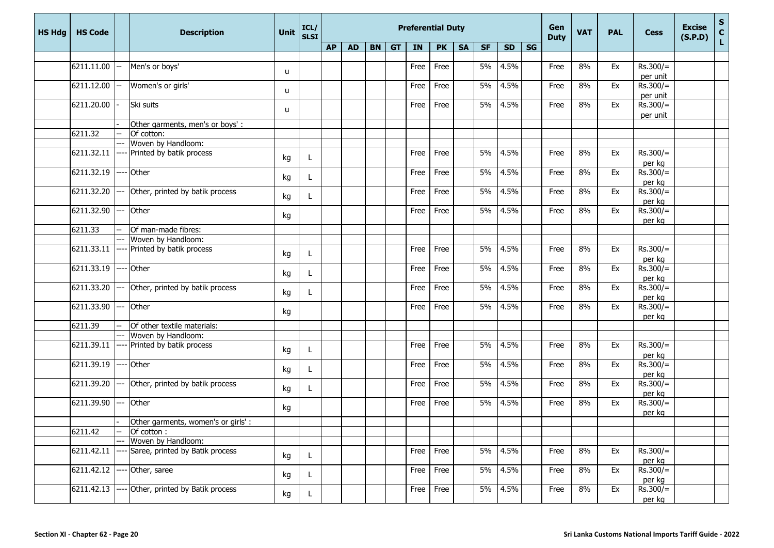| <b>AP</b><br><b>GT</b><br>IN<br><b>PK</b><br><b>SG</b><br><b>AD</b><br><b>BN</b><br><b>SA</b><br><b>SF</b><br><b>SD</b><br>6211.11.00<br>Men's or boys'<br>Free<br>5%<br>4.5%<br>8%<br>Ex<br>$Rs.300/=$<br>Free<br>Free<br>u<br>per unit<br>6211.12.00<br>Women's or girls'<br>5%<br>4.5%<br>Ex<br>$Rs.300/=$<br>Free<br>Free<br>Free<br>8%<br>u<br>per unit<br>6211.20.00<br>Ski suits<br>5%<br>4.5%<br>$Rs.300/=$<br>Free<br>Free<br>8%<br>Ex<br>Free<br>u<br>per unit<br>Other garments, men's or boys':<br>6211.32<br>Of cotton:<br>Woven by Handloom:<br>6211.32.11<br>5%<br>4.5%<br>8%<br>$Rs.300/=$<br>Printed by batik process<br>Free<br>Free<br>Free<br>Ex<br>kg<br>per kg<br>6211.32.19<br>Other<br>5%<br>4.5%<br>$Rs.300/=$<br>8%<br>Ex<br>Free<br>Free<br>Free<br>kg<br>per kg<br>6211.32.20<br>5%<br>4.5%<br>8%<br>$Rs.300/=$<br>Other, printed by batik process<br>Free<br>Free<br>Ex<br>Free<br>---<br>kg<br>per kg<br>6211.32.90<br>5%<br>$Rs.300/=$<br>Other<br>4.5%<br>8%<br>Free<br>Ex<br>Free<br>Free<br>kg<br>per kg<br>6211.33<br>Of man-made fibres:<br>Woven by Handloom:<br>6211.33.11<br>$Rs.300/=$<br>Printed by batik process<br>5%<br>4.5%<br>8%<br>Ex<br>Free<br>Free<br>Free<br>kg<br>per kg<br>6211.33.19<br>Other<br>5%<br>4.5%<br>$Rs.300/=$<br>Free<br>Free<br>8%<br>Ex<br>Free<br>kg<br>per kg<br>6211.33.20<br>5%<br>4.5%<br>$Rs.300/=$<br>Other, printed by batik process<br>Free<br>Free<br>8%<br>Ex<br>Free<br>kg<br>per kg<br>$6211.33.90$ ---<br>$Rs.300/=$<br>Other<br>5%<br>4.5%<br>Ex<br>Free<br>Free<br>8%<br>Free<br>kg<br>per kg<br>6211.39<br>Of other textile materials:<br>Woven by Handloom:<br>6211.39.11<br>Printed by batik process<br>5%<br>4.5%<br>$Rs.300/=$<br>Free<br>8%<br>Ex<br>Free<br>Free<br>kg<br>per kg<br>6211.39.19<br>Other<br>5%<br>4.5%<br>$Rs.300/=$<br>Free<br>Free<br>8%<br>Ex<br>Free<br>kg<br>per kg<br>6211.39.20 ---<br>Other, printed by batik process<br>5%<br>4.5%<br>Ex<br>$Rs.300/=$<br>Free<br>Free<br>8%<br>Free<br>kg<br>per kg<br>$Rs.300/=$<br>6211.39.90<br>Other<br>5%<br>4.5%<br>8%<br>Ex<br>Free<br>Free<br>Free<br>---<br>kg<br>per kg<br>Other garments, women's or girls':<br>6211.42<br>Of cotton:<br>Woven by Handloom:<br>5% 4.5%<br>$Rs.300/=$<br>6211.42.11<br>Saree, printed by Batik process<br>8%<br>Free<br>Free<br>Free<br>Ex<br>kg<br>per kg<br>6211.42.12<br>5%<br>4.5%<br>$Rs.300/=$<br>Other, saree<br>Free<br>8%<br>Ex<br>Free<br>Free<br>kg<br>per kg<br>5% 4.5%<br>$Rs.300/=$<br>6211.42.13<br>Other, printed by Batik process<br>Free <sup>1</sup><br>Free<br>8%<br>Ex<br>Free<br>kg<br>L.<br>per kg | <b>HS Hdg</b> | <b>HS Code</b> | <b>Description</b> | <b>Unit</b> | ICL/<br><b>SLSI</b> |  |  | <b>Preferential Duty</b> |  | Gen<br><b>Duty</b> | <b>VAT</b> | <b>PAL</b> | <b>Cess</b> | <b>Excise</b><br>(S.P.D) | S<br>C<br>L |  |
|-------------------------------------------------------------------------------------------------------------------------------------------------------------------------------------------------------------------------------------------------------------------------------------------------------------------------------------------------------------------------------------------------------------------------------------------------------------------------------------------------------------------------------------------------------------------------------------------------------------------------------------------------------------------------------------------------------------------------------------------------------------------------------------------------------------------------------------------------------------------------------------------------------------------------------------------------------------------------------------------------------------------------------------------------------------------------------------------------------------------------------------------------------------------------------------------------------------------------------------------------------------------------------------------------------------------------------------------------------------------------------------------------------------------------------------------------------------------------------------------------------------------------------------------------------------------------------------------------------------------------------------------------------------------------------------------------------------------------------------------------------------------------------------------------------------------------------------------------------------------------------------------------------------------------------------------------------------------------------------------------------------------------------------------------------------------------------------------------------------------------------------------------------------------------------------------------------------------------------------------------------------------------------------------------------------------------------------------------------------------------------------------------------------------------------------------------------------------------------------------------------------------------------------------------------------------------------------------------------------------------|---------------|----------------|--------------------|-------------|---------------------|--|--|--------------------------|--|--------------------|------------|------------|-------------|--------------------------|-------------|--|
|                                                                                                                                                                                                                                                                                                                                                                                                                                                                                                                                                                                                                                                                                                                                                                                                                                                                                                                                                                                                                                                                                                                                                                                                                                                                                                                                                                                                                                                                                                                                                                                                                                                                                                                                                                                                                                                                                                                                                                                                                                                                                                                                                                                                                                                                                                                                                                                                                                                                                                                                                                                                                         |               |                |                    |             |                     |  |  |                          |  |                    |            |            |             |                          |             |  |
|                                                                                                                                                                                                                                                                                                                                                                                                                                                                                                                                                                                                                                                                                                                                                                                                                                                                                                                                                                                                                                                                                                                                                                                                                                                                                                                                                                                                                                                                                                                                                                                                                                                                                                                                                                                                                                                                                                                                                                                                                                                                                                                                                                                                                                                                                                                                                                                                                                                                                                                                                                                                                         |               |                |                    |             |                     |  |  |                          |  |                    |            |            |             |                          |             |  |
|                                                                                                                                                                                                                                                                                                                                                                                                                                                                                                                                                                                                                                                                                                                                                                                                                                                                                                                                                                                                                                                                                                                                                                                                                                                                                                                                                                                                                                                                                                                                                                                                                                                                                                                                                                                                                                                                                                                                                                                                                                                                                                                                                                                                                                                                                                                                                                                                                                                                                                                                                                                                                         |               |                |                    |             |                     |  |  |                          |  |                    |            |            |             |                          |             |  |
|                                                                                                                                                                                                                                                                                                                                                                                                                                                                                                                                                                                                                                                                                                                                                                                                                                                                                                                                                                                                                                                                                                                                                                                                                                                                                                                                                                                                                                                                                                                                                                                                                                                                                                                                                                                                                                                                                                                                                                                                                                                                                                                                                                                                                                                                                                                                                                                                                                                                                                                                                                                                                         |               |                |                    |             |                     |  |  |                          |  |                    |            |            |             |                          |             |  |
|                                                                                                                                                                                                                                                                                                                                                                                                                                                                                                                                                                                                                                                                                                                                                                                                                                                                                                                                                                                                                                                                                                                                                                                                                                                                                                                                                                                                                                                                                                                                                                                                                                                                                                                                                                                                                                                                                                                                                                                                                                                                                                                                                                                                                                                                                                                                                                                                                                                                                                                                                                                                                         |               |                |                    |             |                     |  |  |                          |  |                    |            |            |             |                          |             |  |
|                                                                                                                                                                                                                                                                                                                                                                                                                                                                                                                                                                                                                                                                                                                                                                                                                                                                                                                                                                                                                                                                                                                                                                                                                                                                                                                                                                                                                                                                                                                                                                                                                                                                                                                                                                                                                                                                                                                                                                                                                                                                                                                                                                                                                                                                                                                                                                                                                                                                                                                                                                                                                         |               |                |                    |             |                     |  |  |                          |  |                    |            |            |             |                          |             |  |
|                                                                                                                                                                                                                                                                                                                                                                                                                                                                                                                                                                                                                                                                                                                                                                                                                                                                                                                                                                                                                                                                                                                                                                                                                                                                                                                                                                                                                                                                                                                                                                                                                                                                                                                                                                                                                                                                                                                                                                                                                                                                                                                                                                                                                                                                                                                                                                                                                                                                                                                                                                                                                         |               |                |                    |             |                     |  |  |                          |  |                    |            |            |             |                          |             |  |
|                                                                                                                                                                                                                                                                                                                                                                                                                                                                                                                                                                                                                                                                                                                                                                                                                                                                                                                                                                                                                                                                                                                                                                                                                                                                                                                                                                                                                                                                                                                                                                                                                                                                                                                                                                                                                                                                                                                                                                                                                                                                                                                                                                                                                                                                                                                                                                                                                                                                                                                                                                                                                         |               |                |                    |             |                     |  |  |                          |  |                    |            |            |             |                          |             |  |
|                                                                                                                                                                                                                                                                                                                                                                                                                                                                                                                                                                                                                                                                                                                                                                                                                                                                                                                                                                                                                                                                                                                                                                                                                                                                                                                                                                                                                                                                                                                                                                                                                                                                                                                                                                                                                                                                                                                                                                                                                                                                                                                                                                                                                                                                                                                                                                                                                                                                                                                                                                                                                         |               |                |                    |             |                     |  |  |                          |  |                    |            |            |             |                          |             |  |
|                                                                                                                                                                                                                                                                                                                                                                                                                                                                                                                                                                                                                                                                                                                                                                                                                                                                                                                                                                                                                                                                                                                                                                                                                                                                                                                                                                                                                                                                                                                                                                                                                                                                                                                                                                                                                                                                                                                                                                                                                                                                                                                                                                                                                                                                                                                                                                                                                                                                                                                                                                                                                         |               |                |                    |             |                     |  |  |                          |  |                    |            |            |             |                          |             |  |
|                                                                                                                                                                                                                                                                                                                                                                                                                                                                                                                                                                                                                                                                                                                                                                                                                                                                                                                                                                                                                                                                                                                                                                                                                                                                                                                                                                                                                                                                                                                                                                                                                                                                                                                                                                                                                                                                                                                                                                                                                                                                                                                                                                                                                                                                                                                                                                                                                                                                                                                                                                                                                         |               |                |                    |             |                     |  |  |                          |  |                    |            |            |             |                          |             |  |
|                                                                                                                                                                                                                                                                                                                                                                                                                                                                                                                                                                                                                                                                                                                                                                                                                                                                                                                                                                                                                                                                                                                                                                                                                                                                                                                                                                                                                                                                                                                                                                                                                                                                                                                                                                                                                                                                                                                                                                                                                                                                                                                                                                                                                                                                                                                                                                                                                                                                                                                                                                                                                         |               |                |                    |             |                     |  |  |                          |  |                    |            |            |             |                          |             |  |
|                                                                                                                                                                                                                                                                                                                                                                                                                                                                                                                                                                                                                                                                                                                                                                                                                                                                                                                                                                                                                                                                                                                                                                                                                                                                                                                                                                                                                                                                                                                                                                                                                                                                                                                                                                                                                                                                                                                                                                                                                                                                                                                                                                                                                                                                                                                                                                                                                                                                                                                                                                                                                         |               |                |                    |             |                     |  |  |                          |  |                    |            |            |             |                          |             |  |
|                                                                                                                                                                                                                                                                                                                                                                                                                                                                                                                                                                                                                                                                                                                                                                                                                                                                                                                                                                                                                                                                                                                                                                                                                                                                                                                                                                                                                                                                                                                                                                                                                                                                                                                                                                                                                                                                                                                                                                                                                                                                                                                                                                                                                                                                                                                                                                                                                                                                                                                                                                                                                         |               |                |                    |             |                     |  |  |                          |  |                    |            |            |             |                          |             |  |
|                                                                                                                                                                                                                                                                                                                                                                                                                                                                                                                                                                                                                                                                                                                                                                                                                                                                                                                                                                                                                                                                                                                                                                                                                                                                                                                                                                                                                                                                                                                                                                                                                                                                                                                                                                                                                                                                                                                                                                                                                                                                                                                                                                                                                                                                                                                                                                                                                                                                                                                                                                                                                         |               |                |                    |             |                     |  |  |                          |  |                    |            |            |             |                          |             |  |
|                                                                                                                                                                                                                                                                                                                                                                                                                                                                                                                                                                                                                                                                                                                                                                                                                                                                                                                                                                                                                                                                                                                                                                                                                                                                                                                                                                                                                                                                                                                                                                                                                                                                                                                                                                                                                                                                                                                                                                                                                                                                                                                                                                                                                                                                                                                                                                                                                                                                                                                                                                                                                         |               |                |                    |             |                     |  |  |                          |  |                    |            |            |             |                          |             |  |
|                                                                                                                                                                                                                                                                                                                                                                                                                                                                                                                                                                                                                                                                                                                                                                                                                                                                                                                                                                                                                                                                                                                                                                                                                                                                                                                                                                                                                                                                                                                                                                                                                                                                                                                                                                                                                                                                                                                                                                                                                                                                                                                                                                                                                                                                                                                                                                                                                                                                                                                                                                                                                         |               |                |                    |             |                     |  |  |                          |  |                    |            |            |             |                          |             |  |
|                                                                                                                                                                                                                                                                                                                                                                                                                                                                                                                                                                                                                                                                                                                                                                                                                                                                                                                                                                                                                                                                                                                                                                                                                                                                                                                                                                                                                                                                                                                                                                                                                                                                                                                                                                                                                                                                                                                                                                                                                                                                                                                                                                                                                                                                                                                                                                                                                                                                                                                                                                                                                         |               |                |                    |             |                     |  |  |                          |  |                    |            |            |             |                          |             |  |
|                                                                                                                                                                                                                                                                                                                                                                                                                                                                                                                                                                                                                                                                                                                                                                                                                                                                                                                                                                                                                                                                                                                                                                                                                                                                                                                                                                                                                                                                                                                                                                                                                                                                                                                                                                                                                                                                                                                                                                                                                                                                                                                                                                                                                                                                                                                                                                                                                                                                                                                                                                                                                         |               |                |                    |             |                     |  |  |                          |  |                    |            |            |             |                          |             |  |
|                                                                                                                                                                                                                                                                                                                                                                                                                                                                                                                                                                                                                                                                                                                                                                                                                                                                                                                                                                                                                                                                                                                                                                                                                                                                                                                                                                                                                                                                                                                                                                                                                                                                                                                                                                                                                                                                                                                                                                                                                                                                                                                                                                                                                                                                                                                                                                                                                                                                                                                                                                                                                         |               |                |                    |             |                     |  |  |                          |  |                    |            |            |             |                          |             |  |
|                                                                                                                                                                                                                                                                                                                                                                                                                                                                                                                                                                                                                                                                                                                                                                                                                                                                                                                                                                                                                                                                                                                                                                                                                                                                                                                                                                                                                                                                                                                                                                                                                                                                                                                                                                                                                                                                                                                                                                                                                                                                                                                                                                                                                                                                                                                                                                                                                                                                                                                                                                                                                         |               |                |                    |             |                     |  |  |                          |  |                    |            |            |             |                          |             |  |
|                                                                                                                                                                                                                                                                                                                                                                                                                                                                                                                                                                                                                                                                                                                                                                                                                                                                                                                                                                                                                                                                                                                                                                                                                                                                                                                                                                                                                                                                                                                                                                                                                                                                                                                                                                                                                                                                                                                                                                                                                                                                                                                                                                                                                                                                                                                                                                                                                                                                                                                                                                                                                         |               |                |                    |             |                     |  |  |                          |  |                    |            |            |             |                          |             |  |
|                                                                                                                                                                                                                                                                                                                                                                                                                                                                                                                                                                                                                                                                                                                                                                                                                                                                                                                                                                                                                                                                                                                                                                                                                                                                                                                                                                                                                                                                                                                                                                                                                                                                                                                                                                                                                                                                                                                                                                                                                                                                                                                                                                                                                                                                                                                                                                                                                                                                                                                                                                                                                         |               |                |                    |             |                     |  |  |                          |  |                    |            |            |             |                          |             |  |
|                                                                                                                                                                                                                                                                                                                                                                                                                                                                                                                                                                                                                                                                                                                                                                                                                                                                                                                                                                                                                                                                                                                                                                                                                                                                                                                                                                                                                                                                                                                                                                                                                                                                                                                                                                                                                                                                                                                                                                                                                                                                                                                                                                                                                                                                                                                                                                                                                                                                                                                                                                                                                         |               |                |                    |             |                     |  |  |                          |  |                    |            |            |             |                          |             |  |
|                                                                                                                                                                                                                                                                                                                                                                                                                                                                                                                                                                                                                                                                                                                                                                                                                                                                                                                                                                                                                                                                                                                                                                                                                                                                                                                                                                                                                                                                                                                                                                                                                                                                                                                                                                                                                                                                                                                                                                                                                                                                                                                                                                                                                                                                                                                                                                                                                                                                                                                                                                                                                         |               |                |                    |             |                     |  |  |                          |  |                    |            |            |             |                          |             |  |
|                                                                                                                                                                                                                                                                                                                                                                                                                                                                                                                                                                                                                                                                                                                                                                                                                                                                                                                                                                                                                                                                                                                                                                                                                                                                                                                                                                                                                                                                                                                                                                                                                                                                                                                                                                                                                                                                                                                                                                                                                                                                                                                                                                                                                                                                                                                                                                                                                                                                                                                                                                                                                         |               |                |                    |             |                     |  |  |                          |  |                    |            |            |             |                          |             |  |
|                                                                                                                                                                                                                                                                                                                                                                                                                                                                                                                                                                                                                                                                                                                                                                                                                                                                                                                                                                                                                                                                                                                                                                                                                                                                                                                                                                                                                                                                                                                                                                                                                                                                                                                                                                                                                                                                                                                                                                                                                                                                                                                                                                                                                                                                                                                                                                                                                                                                                                                                                                                                                         |               |                |                    |             |                     |  |  |                          |  |                    |            |            |             |                          |             |  |
|                                                                                                                                                                                                                                                                                                                                                                                                                                                                                                                                                                                                                                                                                                                                                                                                                                                                                                                                                                                                                                                                                                                                                                                                                                                                                                                                                                                                                                                                                                                                                                                                                                                                                                                                                                                                                                                                                                                                                                                                                                                                                                                                                                                                                                                                                                                                                                                                                                                                                                                                                                                                                         |               |                |                    |             |                     |  |  |                          |  |                    |            |            |             |                          |             |  |
|                                                                                                                                                                                                                                                                                                                                                                                                                                                                                                                                                                                                                                                                                                                                                                                                                                                                                                                                                                                                                                                                                                                                                                                                                                                                                                                                                                                                                                                                                                                                                                                                                                                                                                                                                                                                                                                                                                                                                                                                                                                                                                                                                                                                                                                                                                                                                                                                                                                                                                                                                                                                                         |               |                |                    |             |                     |  |  |                          |  |                    |            |            |             |                          |             |  |
|                                                                                                                                                                                                                                                                                                                                                                                                                                                                                                                                                                                                                                                                                                                                                                                                                                                                                                                                                                                                                                                                                                                                                                                                                                                                                                                                                                                                                                                                                                                                                                                                                                                                                                                                                                                                                                                                                                                                                                                                                                                                                                                                                                                                                                                                                                                                                                                                                                                                                                                                                                                                                         |               |                |                    |             |                     |  |  |                          |  |                    |            |            |             |                          |             |  |
|                                                                                                                                                                                                                                                                                                                                                                                                                                                                                                                                                                                                                                                                                                                                                                                                                                                                                                                                                                                                                                                                                                                                                                                                                                                                                                                                                                                                                                                                                                                                                                                                                                                                                                                                                                                                                                                                                                                                                                                                                                                                                                                                                                                                                                                                                                                                                                                                                                                                                                                                                                                                                         |               |                |                    |             |                     |  |  |                          |  |                    |            |            |             |                          |             |  |
|                                                                                                                                                                                                                                                                                                                                                                                                                                                                                                                                                                                                                                                                                                                                                                                                                                                                                                                                                                                                                                                                                                                                                                                                                                                                                                                                                                                                                                                                                                                                                                                                                                                                                                                                                                                                                                                                                                                                                                                                                                                                                                                                                                                                                                                                                                                                                                                                                                                                                                                                                                                                                         |               |                |                    |             |                     |  |  |                          |  |                    |            |            |             |                          |             |  |
|                                                                                                                                                                                                                                                                                                                                                                                                                                                                                                                                                                                                                                                                                                                                                                                                                                                                                                                                                                                                                                                                                                                                                                                                                                                                                                                                                                                                                                                                                                                                                                                                                                                                                                                                                                                                                                                                                                                                                                                                                                                                                                                                                                                                                                                                                                                                                                                                                                                                                                                                                                                                                         |               |                |                    |             |                     |  |  |                          |  |                    |            |            |             |                          |             |  |
|                                                                                                                                                                                                                                                                                                                                                                                                                                                                                                                                                                                                                                                                                                                                                                                                                                                                                                                                                                                                                                                                                                                                                                                                                                                                                                                                                                                                                                                                                                                                                                                                                                                                                                                                                                                                                                                                                                                                                                                                                                                                                                                                                                                                                                                                                                                                                                                                                                                                                                                                                                                                                         |               |                |                    |             |                     |  |  |                          |  |                    |            |            |             |                          |             |  |
|                                                                                                                                                                                                                                                                                                                                                                                                                                                                                                                                                                                                                                                                                                                                                                                                                                                                                                                                                                                                                                                                                                                                                                                                                                                                                                                                                                                                                                                                                                                                                                                                                                                                                                                                                                                                                                                                                                                                                                                                                                                                                                                                                                                                                                                                                                                                                                                                                                                                                                                                                                                                                         |               |                |                    |             |                     |  |  |                          |  |                    |            |            |             |                          |             |  |
|                                                                                                                                                                                                                                                                                                                                                                                                                                                                                                                                                                                                                                                                                                                                                                                                                                                                                                                                                                                                                                                                                                                                                                                                                                                                                                                                                                                                                                                                                                                                                                                                                                                                                                                                                                                                                                                                                                                                                                                                                                                                                                                                                                                                                                                                                                                                                                                                                                                                                                                                                                                                                         |               |                |                    |             |                     |  |  |                          |  |                    |            |            |             |                          |             |  |
|                                                                                                                                                                                                                                                                                                                                                                                                                                                                                                                                                                                                                                                                                                                                                                                                                                                                                                                                                                                                                                                                                                                                                                                                                                                                                                                                                                                                                                                                                                                                                                                                                                                                                                                                                                                                                                                                                                                                                                                                                                                                                                                                                                                                                                                                                                                                                                                                                                                                                                                                                                                                                         |               |                |                    |             |                     |  |  |                          |  |                    |            |            |             |                          |             |  |
|                                                                                                                                                                                                                                                                                                                                                                                                                                                                                                                                                                                                                                                                                                                                                                                                                                                                                                                                                                                                                                                                                                                                                                                                                                                                                                                                                                                                                                                                                                                                                                                                                                                                                                                                                                                                                                                                                                                                                                                                                                                                                                                                                                                                                                                                                                                                                                                                                                                                                                                                                                                                                         |               |                |                    |             |                     |  |  |                          |  |                    |            |            |             |                          |             |  |
|                                                                                                                                                                                                                                                                                                                                                                                                                                                                                                                                                                                                                                                                                                                                                                                                                                                                                                                                                                                                                                                                                                                                                                                                                                                                                                                                                                                                                                                                                                                                                                                                                                                                                                                                                                                                                                                                                                                                                                                                                                                                                                                                                                                                                                                                                                                                                                                                                                                                                                                                                                                                                         |               |                |                    |             |                     |  |  |                          |  |                    |            |            |             |                          |             |  |
|                                                                                                                                                                                                                                                                                                                                                                                                                                                                                                                                                                                                                                                                                                                                                                                                                                                                                                                                                                                                                                                                                                                                                                                                                                                                                                                                                                                                                                                                                                                                                                                                                                                                                                                                                                                                                                                                                                                                                                                                                                                                                                                                                                                                                                                                                                                                                                                                                                                                                                                                                                                                                         |               |                |                    |             |                     |  |  |                          |  |                    |            |            |             |                          |             |  |
|                                                                                                                                                                                                                                                                                                                                                                                                                                                                                                                                                                                                                                                                                                                                                                                                                                                                                                                                                                                                                                                                                                                                                                                                                                                                                                                                                                                                                                                                                                                                                                                                                                                                                                                                                                                                                                                                                                                                                                                                                                                                                                                                                                                                                                                                                                                                                                                                                                                                                                                                                                                                                         |               |                |                    |             |                     |  |  |                          |  |                    |            |            |             |                          |             |  |
|                                                                                                                                                                                                                                                                                                                                                                                                                                                                                                                                                                                                                                                                                                                                                                                                                                                                                                                                                                                                                                                                                                                                                                                                                                                                                                                                                                                                                                                                                                                                                                                                                                                                                                                                                                                                                                                                                                                                                                                                                                                                                                                                                                                                                                                                                                                                                                                                                                                                                                                                                                                                                         |               |                |                    |             |                     |  |  |                          |  |                    |            |            |             |                          |             |  |
|                                                                                                                                                                                                                                                                                                                                                                                                                                                                                                                                                                                                                                                                                                                                                                                                                                                                                                                                                                                                                                                                                                                                                                                                                                                                                                                                                                                                                                                                                                                                                                                                                                                                                                                                                                                                                                                                                                                                                                                                                                                                                                                                                                                                                                                                                                                                                                                                                                                                                                                                                                                                                         |               |                |                    |             |                     |  |  |                          |  |                    |            |            |             |                          |             |  |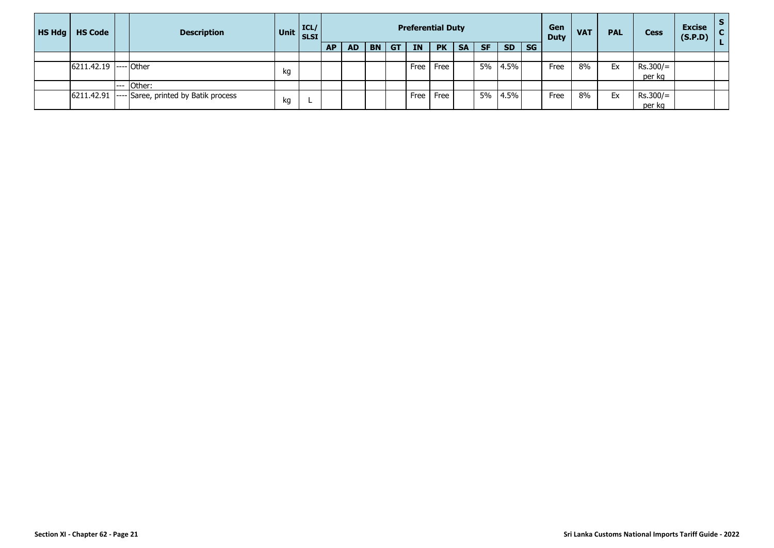| <b>HS Hdg</b> | <b>HS Code</b> | <b>Description</b>              | Unit | ICL/<br><b>SLSI</b> |           |           |           |           |           | <b>Preferential Duty</b> |           |           |           |           | Gen<br><b>Duty</b> | <b>VAT</b> | <b>PAL</b> | <b>Cess</b> | <b>Excise</b><br>(S.P.D) |  |
|---------------|----------------|---------------------------------|------|---------------------|-----------|-----------|-----------|-----------|-----------|--------------------------|-----------|-----------|-----------|-----------|--------------------|------------|------------|-------------|--------------------------|--|
|               |                |                                 |      |                     | <b>AP</b> | <b>AD</b> | <b>BN</b> | <b>GT</b> | <b>IN</b> | <b>PK</b>                | <b>SA</b> | <b>SF</b> | <b>SD</b> | <b>SG</b> |                    |            |            |             |                          |  |
|               |                |                                 |      |                     |           |           |           |           |           |                          |           |           |           |           |                    |            |            |             |                          |  |
|               | 6211.42.19     | $--$ Other                      |      |                     |           |           |           |           | Free      | Free                     |           | 5%        | 4.5%      |           | Free               | 8%         | Ex         | $Rs.300/=$  |                          |  |
|               |                |                                 | kg   |                     |           |           |           |           |           |                          |           |           |           |           |                    |            |            | per kg      |                          |  |
|               |                | Other:                          |      |                     |           |           |           |           |           |                          |           |           |           |           |                    |            |            |             |                          |  |
|               | 6211.42.91     | Saree, printed by Batik process |      |                     |           |           |           |           | Free      | Free                     |           | 5%        | 4.5%      |           | Free               | 8%         | Ex         | $Rs.300/=$  |                          |  |
|               |                |                                 | kg   |                     |           |           |           |           |           |                          |           |           |           |           |                    |            |            | per kg      |                          |  |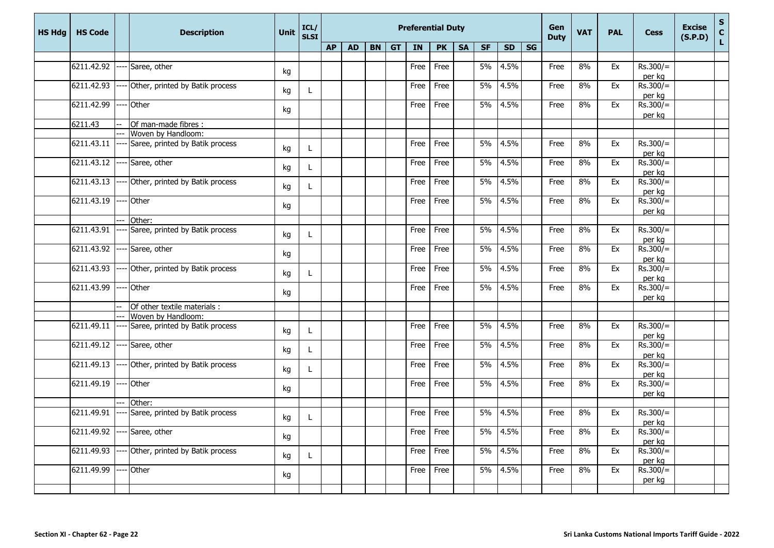| <b>HS Hdg</b> | <b>HS Code</b>    | <b>Description</b>                                | <b>Unit</b> | ICL/<br>SLSI | <b>Preferential Duty</b> |           |    |           |           |           |           |           |           |                        | Gen<br><b>Duty</b> | <b>VAT</b> | <b>PAL</b> | <b>Cess</b>                      | <b>Excise</b><br>(S.P.D) | S<br>C<br>L |
|---------------|-------------------|---------------------------------------------------|-------------|--------------|--------------------------|-----------|----|-----------|-----------|-----------|-----------|-----------|-----------|------------------------|--------------------|------------|------------|----------------------------------|--------------------------|-------------|
|               |                   |                                                   |             |              | <b>AP</b>                | <b>AD</b> | BN | <b>GT</b> | <b>IN</b> | <b>PK</b> | <b>SA</b> | <b>SF</b> | <b>SD</b> | $\overline{\text{SG}}$ |                    |            |            |                                  |                          |             |
|               | 6211.42.92        | Saree, other                                      | kg          |              |                          |           |    |           | Free      | Free      |           | 5%        | 4.5%      |                        | Free               | 8%         | Ex         | $Rs.300/=$                       |                          |             |
|               | 6211.42.93        | Other, printed by Batik process                   | kg          | L            |                          |           |    |           | Free      | Free      |           | 5%        | 4.5%      |                        | Free               | 8%         | Ex         | per kg<br>$Rs.300/=$<br>per kg   |                          |             |
|               | 6211.42.99        | Other                                             | kg          |              |                          |           |    |           | Free      | Free      |           | 5%        | 4.5%      |                        | Free               | 8%         | Ex         | $Rs.300/=$<br>per kg             |                          |             |
|               | 6211.43           | Of man-made fibres :                              |             |              |                          |           |    |           |           |           |           |           |           |                        |                    |            |            |                                  |                          |             |
|               |                   | Woven by Handloom:                                |             |              |                          |           |    |           |           |           |           |           |           |                        |                    |            |            |                                  |                          |             |
|               | $6211.43.11$ ---- | Saree, printed by Batik process                   | kg          | L            |                          |           |    |           | Free      | Free      |           | 5%        | 4.5%      |                        | Free               | 8%         | Ex         | $Rs.300/=$<br>per kg             |                          |             |
|               |                   | 6211.43.12 ---- Saree, other                      | kg          | L            |                          |           |    |           | Free      | Free      |           | 5%        | 4.5%      |                        | Free               | 8%         | Ex         | $Rs.300/=$<br>per kg             |                          |             |
|               |                   | $6211.43.13$ ---- Other, printed by Batik process | kg          | L            |                          |           |    |           | Free      | Free      |           | 5%        | 4.5%      |                        | Free               | 8%         | Ex         | $Rs.300/=$<br>per kg             |                          |             |
|               | 6211.43.19        | Other                                             | kg          |              |                          |           |    |           | Free      | Free      |           | 5%        | 4.5%      |                        | Free               | 8%         | Ex         | $Rs.300/=$<br>per kg             |                          |             |
|               |                   | Other:                                            |             |              |                          |           |    |           |           |           |           |           |           |                        |                    |            |            |                                  |                          |             |
|               |                   | 6211.43.91 ---- Saree, printed by Batik process   | kg          | L            |                          |           |    |           | Free      | Free      |           | 5%        | 4.5%      |                        | Free               | 8%         | Ex         | $Rs.300/=$<br>per kg             |                          |             |
|               | 6211.43.92        | ---- Saree, other                                 | kg          |              |                          |           |    |           | Free      | Free      |           | 5%        | 4.5%      |                        | Free               | 8%         | Ex         | $\overline{Rs.300/}$ =<br>per kg |                          |             |
|               | 6211.43.93        | Other, printed by Batik process                   | kg          | L            |                          |           |    |           | Free      | Free      |           | 5%        | 4.5%      |                        | Free               | 8%         | Ex         | $Rs.300/=$<br>per kg             |                          |             |
|               | 6211.43.99        | Other                                             | kg          |              |                          |           |    |           | Free      | Free      |           | 5%        | 4.5%      |                        | Free               | 8%         | Ex         | $Rs.300/=$<br>per kg             |                          |             |
|               |                   | Of other textile materials :                      |             |              |                          |           |    |           |           |           |           |           |           |                        |                    |            |            |                                  |                          |             |
|               |                   | Woven by Handloom:                                |             |              |                          |           |    |           |           |           |           |           |           |                        |                    |            |            |                                  |                          |             |
|               |                   | $6211.49.11$ ---- Saree, printed by Batik process | kg          | L            |                          |           |    |           | Free      | Free      |           | 5%        | 4.5%      |                        | Free               | 8%         | Ex         | $Rs.300/=$<br>per kg             |                          |             |
|               |                   | 6211.49.12 ---- Saree, other                      | kg          | L.           |                          |           |    |           | Free      | Free      |           | 5%        | 4.5%      |                        | Free               | 8%         | Ex         | $Rs.300/=$<br>per kg             |                          |             |
|               | 6211.49.13        | Other, printed by Batik process                   | kg          | L.           |                          |           |    |           | Free      | Free      |           | 5%        | 4.5%      |                        | Free               | 8%         | Ex         | $Rs.300/=$<br>per kg             |                          |             |
|               | 6211.49.19        | Other                                             | kg          |              |                          |           |    |           | Free      | Free      |           | 5%        | 4.5%      |                        | Free               | 8%         | Ex         | $Rs.300/=$<br>per kg             |                          |             |
|               |                   | Other:                                            |             |              |                          |           |    |           |           |           |           |           |           |                        |                    |            |            |                                  |                          |             |
|               |                   | 6211.49.91 ---- Saree, printed by Batik process   | kg          | L            |                          |           |    |           | Free      | Free      |           | 5%        | 4.5%      |                        | Free               | 8%         | Ex         | $Rs.300/=$<br>per kg             |                          |             |
|               | 6211.49.92        | Saree, other                                      | kg          |              |                          |           |    |           | Free      | Free      |           | 5%        | 4.5%      |                        | Free               | 8%         | Ex         | $Rs.300/=$<br>per kg             |                          |             |
|               | 6211.49.93        | Other, printed by Batik process                   | kg          | L            |                          |           |    |           | Free      | Free      |           | 5%        | 4.5%      |                        | Free               | 8%         | Ex         | $Rs.300/=$<br>per kg             |                          |             |
|               | 6211.49.99        | Other                                             | kg          |              |                          |           |    |           | Free      | Free      |           | 5%        | 4.5%      |                        | Free               | 8%         | Ex         | $Rs.300/=$<br>per kg             |                          |             |
|               |                   |                                                   |             |              |                          |           |    |           |           |           |           |           |           |                        |                    |            |            |                                  |                          |             |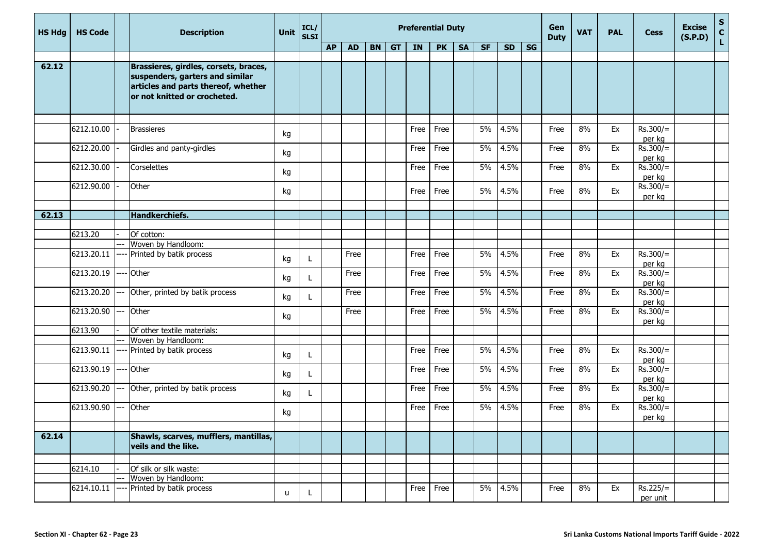| <b>HS Hdg</b> | <b>HS Code</b>   |       | <b>Description</b>                                                                                                                              | Unit | ICL/<br><b>SLSI</b> |           |           |       | <b>Preferential Duty</b> |           |           |           |           | Gen<br><b>Duty</b> | <b>VAT</b> | <b>PAL</b> | <b>Cess</b> | <b>Excise</b><br>(S.P.D) | $S_{C}$<br>Ĺ. |  |
|---------------|------------------|-------|-------------------------------------------------------------------------------------------------------------------------------------------------|------|---------------------|-----------|-----------|-------|--------------------------|-----------|-----------|-----------|-----------|--------------------|------------|------------|-------------|--------------------------|---------------|--|
|               |                  |       |                                                                                                                                                 |      |                     | <b>AP</b> | <b>AD</b> | BN GT | IN                       | <b>PK</b> | <b>SA</b> | <b>SF</b> | <b>SD</b> | <b>SG</b>          |            |            |             |                          |               |  |
| 62.12         |                  |       |                                                                                                                                                 |      |                     |           |           |       |                          |           |           |           |           |                    |            |            |             |                          |               |  |
|               |                  |       | Brassieres, girdles, corsets, braces,<br>suspenders, garters and similar<br>articles and parts thereof, whether<br>or not knitted or crocheted. |      |                     |           |           |       |                          |           |           |           |           |                    |            |            |             |                          |               |  |
|               |                  |       |                                                                                                                                                 |      |                     |           |           |       |                          |           |           |           |           |                    |            |            |             |                          |               |  |
|               | 6212.10.00       |       | <b>Brassieres</b>                                                                                                                               | kg   |                     |           |           |       | Free                     | Free      |           | 5%        | 4.5%      |                    | Free       | 8%         | Ex          | $Rs.300/=$<br>per kg     |               |  |
|               | 6212.20.00       |       | Girdles and panty-girdles                                                                                                                       | kg   |                     |           |           |       | Free                     | Free      |           | 5%        | 4.5%      |                    | Free       | 8%         | Ex          | $Rs.300/=$<br>per kg     |               |  |
|               | 6212.30.00       |       | Corselettes                                                                                                                                     | kg   |                     |           |           |       | Free                     | Free      |           | 5%        | 4.5%      |                    | Free       | 8%         | Ex          | $Rs.300/=$<br>per kg     |               |  |
|               | 6212.90.00       |       | Other                                                                                                                                           | kg   |                     |           |           |       | Free                     | Free      |           | 5%        | 4.5%      |                    | Free       | 8%         | Ex          | $Rs.300/=$<br>per kg     |               |  |
|               |                  |       |                                                                                                                                                 |      |                     |           |           |       |                          |           |           |           |           |                    |            |            |             |                          |               |  |
| 62.13         |                  |       | <b>Handkerchiefs.</b>                                                                                                                           |      |                     |           |           |       |                          |           |           |           |           |                    |            |            |             |                          |               |  |
|               | 6213.20          |       | Of cotton:                                                                                                                                      |      |                     |           |           |       |                          |           |           |           |           |                    |            |            |             |                          |               |  |
|               |                  |       | Woven by Handloom:                                                                                                                              |      |                     |           |           |       |                          |           |           |           |           |                    |            |            |             |                          |               |  |
|               | 6213.20.11       |       | Printed by batik process                                                                                                                        | kg   | L                   |           | Free      |       | Free                     | Free      |           | 5%        | 4.5%      |                    | Free       | 8%         | Ex          | $Rs.300/=$<br>per kg     |               |  |
|               | 6213.20.19       |       | Other                                                                                                                                           | kg   | L                   |           | Free      |       | Free                     | Free      |           | 5%        | 4.5%      |                    | Free       | 8%         | Ex          | $Rs.300/=$<br>per kg     |               |  |
|               | 6213.20.20       |       | Other, printed by batik process                                                                                                                 | kg   | L                   |           | Free      |       | Free                     | Free      |           | 5%        | 4.5%      |                    | Free       | 8%         | Ex          | $Rs.300/=$<br>per kg     |               |  |
|               | $6213.20.90$ --- |       | Other                                                                                                                                           | kg   |                     |           | Free      |       | Free                     | Free      |           | 5%        | 4.5%      |                    | Free       | 8%         | Ex          | $Rs.300/=$<br>per kg     |               |  |
|               | 6213.90          |       | Of other textile materials:                                                                                                                     |      |                     |           |           |       |                          |           |           |           |           |                    |            |            |             |                          |               |  |
|               |                  |       | Woven by Handloom:                                                                                                                              |      |                     |           |           |       |                          |           |           |           |           |                    |            |            |             |                          |               |  |
|               | 6213.90.11       | $---$ | Printed by batik process                                                                                                                        | kg   | L                   |           |           |       | Free                     | Free      |           | 5%        | 4.5%      |                    | Free       | 8%         | Ex          | $Rs.300/=$<br>per kg     |               |  |
|               | 6213.90.19       | ----  | Other                                                                                                                                           | kg   | $\mathbf{I}$        |           |           |       | Free                     | Free      |           | 5%        | 4.5%      |                    | Free       | 8%         | Ex          | $Rs.300/=$<br>per kg     |               |  |
|               | 6213.90.20 ---   |       | Other, printed by batik process                                                                                                                 | kg   | L                   |           |           |       | Free                     | Free      |           | 5%        | 4.5%      |                    | Free       | 8%         | Ex          | $Rs.300/=$<br>per kg     |               |  |
|               | 6213.90.90       |       | Other                                                                                                                                           | kg   |                     |           |           |       | Free                     | Free      |           | 5%        | 4.5%      |                    | Free       | 8%         | Ex          | $Rs.300/=$<br>per kg     |               |  |
|               |                  |       |                                                                                                                                                 |      |                     |           |           |       |                          |           |           |           |           |                    |            |            |             |                          |               |  |
| 62.14         |                  |       | Shawls, scarves, mufflers, mantillas,<br>veils and the like.                                                                                    |      |                     |           |           |       |                          |           |           |           |           |                    |            |            |             |                          |               |  |
|               |                  |       |                                                                                                                                                 |      |                     |           |           |       |                          |           |           |           |           |                    |            |            |             |                          |               |  |
|               | 6214.10          |       | Of silk or silk waste:                                                                                                                          |      |                     |           |           |       |                          |           |           |           |           |                    |            |            |             |                          |               |  |
|               | 6214.10.11       |       | Woven by Handloom:<br>Printed by batik process                                                                                                  |      |                     |           |           |       |                          | Free      |           | 5%        | 4.5%      |                    |            | 8%         | Ex          | $Rs.225/=$               |               |  |
|               |                  |       |                                                                                                                                                 | u    | L                   |           |           |       | Free                     |           |           |           |           |                    | Free       |            |             | per unit                 |               |  |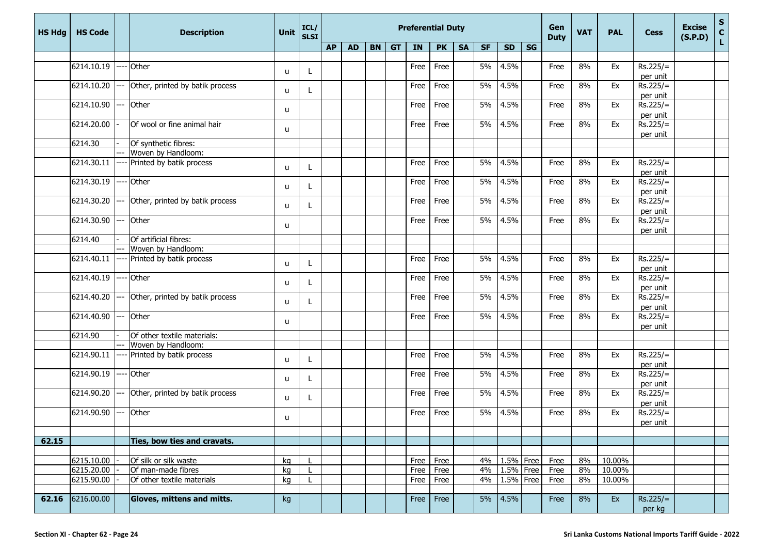| <b>HS Hdg</b> | <b>HS Code</b> |       | <b>Description</b>              | Unit | ICL/<br><b>SLSI</b> |           |           |       | <b>Preferential Duty</b> |               |           |           |           | Gen<br><b>Duty</b> | <b>VAT</b> | <b>PAL</b> | <b>Cess</b> | <b>Excise</b><br>(S.P.D) | ${\sf s}$<br>$\mathbf c$ |    |
|---------------|----------------|-------|---------------------------------|------|---------------------|-----------|-----------|-------|--------------------------|---------------|-----------|-----------|-----------|--------------------|------------|------------|-------------|--------------------------|--------------------------|----|
|               |                |       |                                 |      |                     | <b>AP</b> | <b>AD</b> | BN GT | IN                       | <b>PK</b>     | <b>SA</b> | <b>SF</b> | <b>SD</b> | SG                 |            |            |             |                          |                          | L. |
|               | 6214.10.19     |       |                                 |      |                     |           |           |       |                          |               |           |           |           |                    |            |            |             | $Rs.225/=$               |                          |    |
|               |                |       | ---- Other                      | u    |                     |           |           |       | Free                     | Free          |           | 5%        | 4.5%      |                    | Free       | 8%         | Ex          | per unit                 |                          |    |
|               | 6214.10.20     | ---   | Other, printed by batik process |      |                     |           |           |       | Free                     | Free          |           | 5%        | 4.5%      |                    | Free       | 8%         | Ex          | $Rs.225/=$               |                          |    |
|               |                |       |                                 | u    |                     |           |           |       |                          |               |           |           |           |                    |            |            |             | per unit                 |                          |    |
|               | 6214.10.90     | Ξ.    | Other                           | u    |                     |           |           |       | Free                     | Free          |           | 5%        | 4.5%      |                    | Free       | 8%         | Ex          | $Rs.225/=$               |                          |    |
|               | 6214.20.00     |       | Of wool or fine animal hair     |      |                     |           |           |       | Free                     | Free          |           | 5%        | 4.5%      |                    | Free       | 8%         | Ex          | per unit<br>$Rs.225/=$   |                          |    |
|               |                |       |                                 | u    |                     |           |           |       |                          |               |           |           |           |                    |            |            |             | per unit                 |                          |    |
|               | 6214.30        |       | Of synthetic fibres:            |      |                     |           |           |       |                          |               |           |           |           |                    |            |            |             |                          |                          |    |
|               |                |       | Woven by Handloom:              |      |                     |           |           |       |                          |               |           |           |           |                    |            |            |             |                          |                          |    |
|               | 6214.30.11     |       | ---- Printed by batik process   | u    |                     |           |           |       | Free                     | Free          |           | 5%        | 4.5%      |                    | Free       | 8%         | Ex          | $Rs.225/=$<br>per unit   |                          |    |
|               | 6214.30.19     |       | Other                           |      |                     |           |           |       | Free                     | Free          |           | 5%        | 4.5%      |                    | Free       | 8%         | Ex          | $Rs.225/=$               |                          |    |
|               |                |       |                                 | u    |                     |           |           |       |                          |               |           |           |           |                    |            |            |             | per unit                 |                          |    |
|               | 6214.30.20     | ---   | Other, printed by batik process |      |                     |           |           |       | Free                     | Free          |           | 5%        | 4.5%      |                    | Free       | 8%         | Ex          | $Rs.225/=$               |                          |    |
|               |                |       |                                 | u    |                     |           |           |       |                          |               |           |           |           |                    |            |            |             | per unit                 |                          |    |
|               | 6214.30.90     | $---$ | Other                           | u    |                     |           |           |       | Free                     | Free          |           | 5%        | 4.5%      |                    | Free       | 8%         | Ex          | $Rs.225/=$               |                          |    |
|               | 6214.40        |       | Of artificial fibres:           |      |                     |           |           |       |                          |               |           |           |           |                    |            |            |             | per unit                 |                          |    |
|               |                | ---   | Woven by Handloom:              |      |                     |           |           |       |                          |               |           |           |           |                    |            |            |             |                          |                          |    |
|               | 6214.40.11     |       | Printed by batik process        | u    |                     |           |           |       | Free                     | Free          |           | 5%        | 4.5%      |                    | Free       | 8%         | Ex          | $Rs.225/=$<br>per unit   |                          |    |
|               | 6214.40.19     |       | Other                           | u    |                     |           |           |       | Free                     | Free          |           | 5%        | 4.5%      |                    | Free       | 8%         | Ex          | $Rs.225/=$               |                          |    |
|               |                |       |                                 |      |                     |           |           |       |                          |               |           |           |           |                    |            |            |             | per unit                 |                          |    |
|               | 6214.40.20     |       | Other, printed by batik process | u    |                     |           |           |       | Free                     | Free          |           | 5%        | 4.5%      |                    | Free       | 8%         | Ex          | $Rs.225/=$<br>per unit   |                          |    |
|               | 6214.40.90     | ---   | Other                           | u    |                     |           |           |       | Free                     | Free          |           | 5%        | 4.5%      |                    | Free       | 8%         | Ex          | $Rs.225/=$               |                          |    |
|               | 6214.90        |       | Of other textile materials:     |      |                     |           |           |       |                          |               |           |           |           |                    |            |            |             | per unit                 |                          |    |
|               |                |       | Woven by Handloom:              |      |                     |           |           |       |                          |               |           |           |           |                    |            |            |             |                          |                          |    |
|               | 6214.90.11     |       | Printed by batik process        |      |                     |           |           |       | Free                     | Free          |           | 5%        | 4.5%      |                    | Free       | 8%         | Ex          | $Rs.225/=$               |                          |    |
|               |                |       |                                 | u    |                     |           |           |       |                          |               |           |           |           |                    |            |            |             | per unit                 |                          |    |
|               | 6214.90.19     |       | Other                           |      |                     |           |           |       | Free                     | Free          |           | 5%        | 4.5%      |                    | Free       | 8%         | Ex          | $Rs.225/=$               |                          |    |
|               |                |       |                                 | u    | L.                  |           |           |       |                          |               |           |           |           |                    |            |            |             | per unit                 |                          |    |
|               | 6214.90.20     | ---   | Other, printed by batik process |      |                     |           |           |       | Free                     | Free          |           | 5%        | 4.5%      |                    | Free       | 8%         | Ex          | $Rs.225/=$               |                          |    |
|               |                |       |                                 | u    |                     |           |           |       |                          |               |           |           |           |                    |            |            |             | per unit                 |                          |    |
|               | 6214.90.90     | ---   | Other                           | u    |                     |           |           |       | Free                     | Free          |           | 5%        | 4.5%      |                    | Free       | 8%         | Ex          | $Rs.225/=$               |                          |    |
|               |                |       |                                 |      |                     |           |           |       |                          |               |           |           |           |                    |            |            |             | per unit                 |                          |    |
|               |                |       |                                 |      |                     |           |           |       |                          |               |           |           |           |                    |            |            |             |                          |                          |    |
| 62.15         |                |       | Ties, bow ties and cravats.     |      |                     |           |           |       |                          |               |           |           |           |                    |            |            |             |                          |                          |    |
|               | 6215.10.00     |       | Of silk or silk waste           | kg   |                     |           |           |       |                          | Free Free     |           | 4%        | 1.5% Free |                    | Free       | 8%         | 10.00%      |                          |                          |    |
|               | 6215.20.00     |       | Of man-made fibres              | kg   |                     |           |           |       |                          | Free Free     |           | 4%        | 1.5% Free |                    | Free       | 8%         | 10.00%      |                          |                          |    |
|               | 6215.90.00     |       | Of other textile materials      | kg   |                     |           |           |       |                          | $Free$   Free |           | 4%        | 1.5%      | Free               | Free       | 8%         | 10.00%      |                          |                          |    |
|               |                |       |                                 |      |                     |           |           |       |                          |               |           |           |           |                    |            |            |             |                          |                          |    |
| 62.16         | 6216.00.00     |       | Gloves, mittens and mitts.      | kg   |                     |           |           |       |                          | $Free$   Free |           | 5%        | 4.5%      |                    | Free       | 8%         | Ex          | $Rs.225/=$<br>per kg     |                          |    |